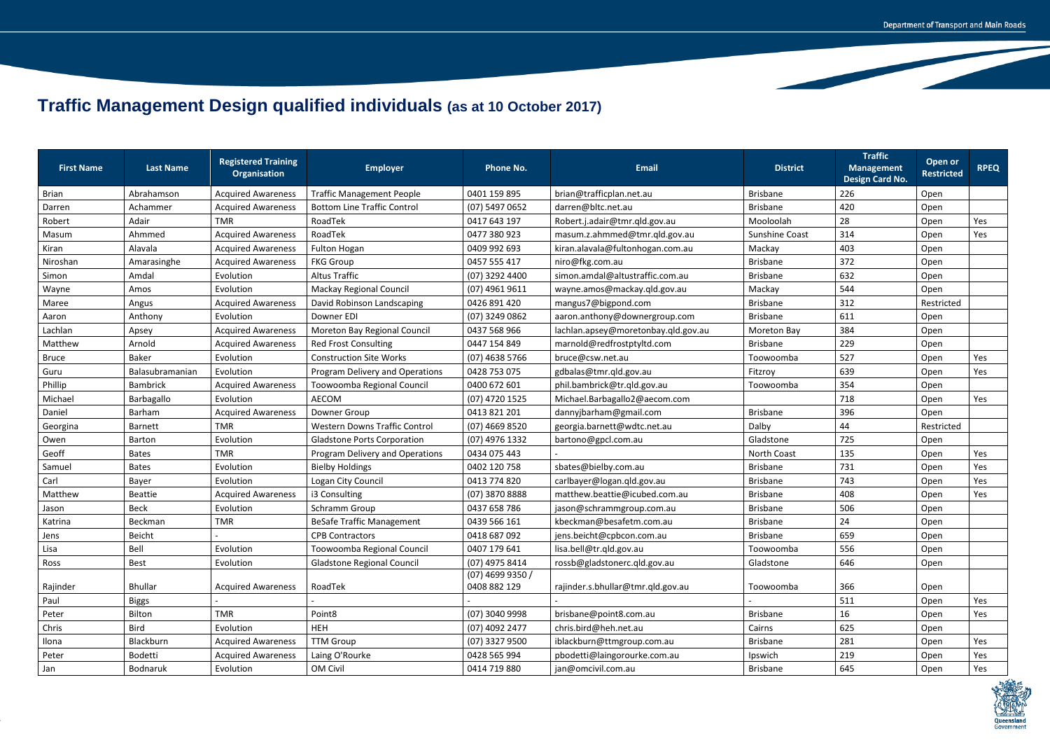## **Traffic Management Design qualified individuals (as at 10 October 2017)**

| <b>First Name</b> | <b>Last Name</b> | <b>Registered Training</b><br><b>Organisation</b> | <b>Employer</b>                      | <b>Phone No.</b>                   | <b>Email</b>                        | <b>District</b>       | <b>Traffic</b><br><b>Management</b><br><b>Design Card No.</b> | Open or<br><b>Restricted</b> | <b>RPEQ</b> |
|-------------------|------------------|---------------------------------------------------|--------------------------------------|------------------------------------|-------------------------------------|-----------------------|---------------------------------------------------------------|------------------------------|-------------|
| <b>Brian</b>      | Abrahamson       | <b>Acquired Awareness</b>                         | <b>Traffic Management People</b>     | 0401 159 895                       | brian@trafficplan.net.au            | <b>Brisbane</b>       | 226                                                           | Open                         |             |
| Darren            | Achammer         | <b>Acquired Awareness</b>                         | <b>Bottom Line Traffic Control</b>   | (07) 5497 0652                     | darren@bltc.net.au                  | <b>Brisbane</b>       | 420                                                           | Open                         |             |
| Robert            | Adair            | <b>TMR</b>                                        | RoadTek                              | 0417 643 197                       | Robert.j.adair@tmr.qld.gov.au       | Mooloolah             | 28                                                            | Open                         | Yes         |
| Masum             | Ahmmed           | <b>Acquired Awareness</b>                         | RoadTek                              | 0477 380 923                       | masum.z.ahmmed@tmr.qld.gov.au       | <b>Sunshine Coast</b> | 314                                                           | Open                         | Yes         |
| Kiran             | Alavala          | <b>Acquired Awareness</b>                         | <b>Fulton Hogan</b>                  | 0409 992 693                       | kiran.alavala@fultonhogan.com.au    | Mackay                | 403                                                           | Open                         |             |
| Niroshan          | Amarasinghe      | <b>Acquired Awareness</b>                         | <b>FKG Group</b>                     | 0457 555 417                       | niro@fkg.com.au                     | <b>Brisbane</b>       | 372                                                           | Open                         |             |
| Simon             | Amdal            | Evolution                                         | <b>Altus Traffic</b>                 | (07) 3292 4400                     | simon.amdal@altustraffic.com.au     | <b>Brisbane</b>       | 632                                                           | Open                         |             |
| Wayne             | Amos             | Evolution                                         | Mackay Regional Council              | $(07)$ 4961 9611                   | wayne.amos@mackay.qld.gov.au        | Mackay                | 544                                                           | Open                         |             |
| Maree             | Angus            | <b>Acquired Awareness</b>                         | David Robinson Landscaping           | 0426 891 420                       | mangus7@bigpond.com                 | <b>Brisbane</b>       | 312                                                           | Restricted                   |             |
| Aaron             | Anthony          | Evolution                                         | Downer EDI                           | (07) 3249 0862                     | aaron.anthony@downergroup.com       | <b>Brisbane</b>       | 611                                                           | Open                         |             |
| Lachlan           | Apsey            | <b>Acquired Awareness</b>                         | Moreton Bay Regional Council         | 0437 568 966                       | lachlan.apsey@moretonbay.qld.gov.au | <b>Moreton Bay</b>    | 384                                                           | Open                         |             |
| Matthew           | Arnold           | <b>Acquired Awareness</b>                         | <b>Red Frost Consulting</b>          | 0447 154 849                       | marnold@redfrostptyltd.com          | <b>Brisbane</b>       | 229                                                           | Open                         |             |
| <b>Bruce</b>      | <b>Baker</b>     | Evolution                                         | <b>Construction Site Works</b>       | $(07)$ 4638 5766                   | bruce@csw.net.au                    | Toowoomba             | 527                                                           | Open                         | Yes         |
| Guru              | Balasubramanian  | Evolution                                         | Program Delivery and Operations      | 0428 753 075                       | gdbalas@tmr.qld.gov.au              | Fitzroy               | 639                                                           | Open                         | Yes         |
| Phillip           | <b>Bambrick</b>  | <b>Acquired Awareness</b>                         | Toowoomba Regional Council           | 0400 672 601                       | phil.bambrick@tr.qld.gov.au         | Toowoomba             | 354                                                           | Open                         |             |
| Michael           | Barbagallo       | Evolution                                         | AECOM                                | (07) 4720 1525                     | Michael.Barbagallo2@aecom.com       |                       | 718                                                           | Open                         | Yes         |
| Daniel            | Barham           | <b>Acquired Awareness</b>                         | Downer Group                         | 0413 821 201                       | dannyjbarham@gmail.com              | <b>Brisbane</b>       | 396                                                           | Open                         |             |
| Georgina          | <b>Barnett</b>   | <b>TMR</b>                                        | <b>Western Downs Traffic Control</b> | $(07)$ 4669 8520                   | georgia.barnett@wdtc.net.au         | Dalby                 | 44                                                            | Restricted                   |             |
| Owen              | Barton           | Evolution                                         | <b>Gladstone Ports Corporation</b>   | (07) 4976 1332                     | bartono@gpcl.com.au                 | Gladstone             | 725                                                           | Open                         |             |
| Geoff             | <b>Bates</b>     | <b>TMR</b>                                        | Program Delivery and Operations      | 0434 075 443                       |                                     | North Coast           | 135                                                           | Open                         | Yes         |
| Samuel            | <b>Bates</b>     | Evolution                                         | <b>Bielby Holdings</b>               | 0402 120 758                       | sbates@bielby.com.au                | <b>Brisbane</b>       | 731                                                           | Open                         | Yes         |
| Carl              | Bayer            | Evolution                                         | Logan City Council                   | 0413 774 820                       | carlbayer@logan.qld.gov.au          | <b>Brisbane</b>       | 743                                                           | Open                         | Yes         |
| Matthew           | <b>Beattie</b>   | <b>Acquired Awareness</b>                         | i3 Consulting                        | (07) 3870 8888                     | matthew.beattie@icubed.com.au       | <b>Brisbane</b>       | 408                                                           | Open                         | Yes         |
| Jason             | <b>Beck</b>      | Evolution                                         | Schramm Group                        | 0437 658 786                       | jason@schrammgroup.com.au           | <b>Brisbane</b>       | 506                                                           | Open                         |             |
| Katrina           | Beckman          | <b>TMR</b>                                        | <b>BeSafe Traffic Management</b>     | 0439 566 161                       | kbeckman@besafetm.com.au            | <b>Brisbane</b>       | 24                                                            | Open                         |             |
| Jens              | Beicht           |                                                   | <b>CPB Contractors</b>               | 0418 687 092                       | jens.beicht@cpbcon.com.au           | <b>Brisbane</b>       | 659                                                           | Open                         |             |
| Lisa              | Bell             | Evolution                                         | Toowoomba Regional Council           | 0407 179 641                       | lisa.bell@tr.qld.gov.au             | Toowoomba             | 556                                                           | Open                         |             |
| Ross              | Best             | Evolution                                         | <b>Gladstone Regional Council</b>    | (07) 4975 8414                     | rossb@gladstonerc.qld.gov.au        | Gladstone             | 646                                                           | Open                         |             |
| Rajinder          | <b>Bhullar</b>   | <b>Acquired Awareness</b>                         | RoadTek                              | $(07)$ 4699 9350 /<br>0408 882 129 | rajinder.s.bhullar@tmr.qld.gov.au   | Toowoomba             | 366                                                           | Open                         |             |
| Paul              | <b>Biggs</b>     |                                                   |                                      |                                    |                                     |                       | 511                                                           | Open                         | Yes         |
| Peter             | Bilton           | <b>TMR</b>                                        | Point8                               | (07) 3040 9998                     | brisbane@point8.com.au              | <b>Brisbane</b>       | 16                                                            | Open                         | Yes         |
| Chris             | <b>Bird</b>      | Evolution                                         | <b>HEH</b>                           | (07) 4092 2477                     | chris.bird@heh.net.au               | Cairns                | 625                                                           | Open                         |             |
| Ilona             | Blackburn        | <b>Acquired Awareness</b>                         | <b>TTM Group</b>                     | (07) 3327 9500                     | iblackburn@ttmgroup.com.au          | <b>Brisbane</b>       | 281                                                           | Open                         | Yes         |
| Peter             | Bodetti          | <b>Acquired Awareness</b>                         | Laing O'Rourke                       | 0428 565 994                       | pbodetti@laingorourke.com.au        | Ipswich               | 219                                                           | Open                         | Yes         |
| Jan               | Bodnaruk         | Evolution                                         | OM Civil                             | 0414 719 880                       | jan@omcivil.com.au                  | <b>Brisbane</b>       | 645                                                           | Open                         | Yes         |

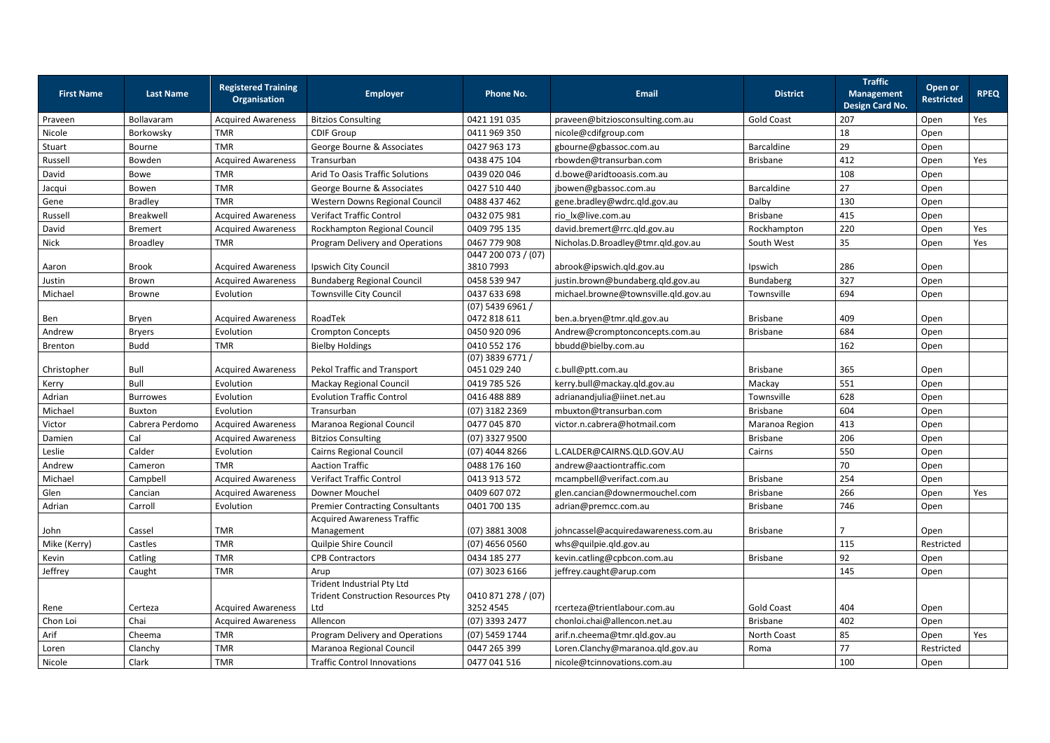| 207<br>Bollavaram<br><b>Acquired Awareness</b><br>0421 191 035<br>praveen@bitziosconsulting.com.au<br><b>Gold Coast</b><br>Open<br>Praveen<br><b>Bitzios Consulting</b><br>18<br>Nicole<br>0411 969 350<br>Borkowsky<br>TMR<br><b>CDIF Group</b><br>nicole@cdifgroup.com<br>Open<br>George Bourne & Associates<br>29<br>Stuart<br><b>TMR</b><br>0427 963 173<br>Barcaldine<br>gbourne@gbassoc.com.au<br>Open<br>Bourne<br>412<br>Russell<br>Bowden<br><b>Acquired Awareness</b><br>0438 475 104<br>rbowden@transurban.com<br>Transurban<br><b>Brisbane</b><br>Open<br>Arid To Oasis Traffic Solutions<br>108<br>David<br><b>TMR</b><br>0439 020 046<br>Open<br>Bowe<br>d.bowe@aridtooasis.com.au<br>George Bourne & Associates<br>Barcaldine<br>27<br><b>TMR</b><br>0427 510 440<br>Open<br>Bowen<br>jbowen@gbassoc.com.au<br>Jacqui<br>Gene<br><b>TMR</b><br><b>Bradley</b><br>0488 437 462<br>Dalby<br>130<br>Western Downs Regional Council<br>gene.bradley@wdrc.qld.gov.au<br>Open | Yes<br>Yes<br>Yes<br>Yes |
|----------------------------------------------------------------------------------------------------------------------------------------------------------------------------------------------------------------------------------------------------------------------------------------------------------------------------------------------------------------------------------------------------------------------------------------------------------------------------------------------------------------------------------------------------------------------------------------------------------------------------------------------------------------------------------------------------------------------------------------------------------------------------------------------------------------------------------------------------------------------------------------------------------------------------------------------------------------------------------------|--------------------------|
|                                                                                                                                                                                                                                                                                                                                                                                                                                                                                                                                                                                                                                                                                                                                                                                                                                                                                                                                                                                        |                          |
|                                                                                                                                                                                                                                                                                                                                                                                                                                                                                                                                                                                                                                                                                                                                                                                                                                                                                                                                                                                        |                          |
|                                                                                                                                                                                                                                                                                                                                                                                                                                                                                                                                                                                                                                                                                                                                                                                                                                                                                                                                                                                        |                          |
|                                                                                                                                                                                                                                                                                                                                                                                                                                                                                                                                                                                                                                                                                                                                                                                                                                                                                                                                                                                        |                          |
|                                                                                                                                                                                                                                                                                                                                                                                                                                                                                                                                                                                                                                                                                                                                                                                                                                                                                                                                                                                        |                          |
|                                                                                                                                                                                                                                                                                                                                                                                                                                                                                                                                                                                                                                                                                                                                                                                                                                                                                                                                                                                        |                          |
|                                                                                                                                                                                                                                                                                                                                                                                                                                                                                                                                                                                                                                                                                                                                                                                                                                                                                                                                                                                        |                          |
| <b>Acquired Awareness</b><br><b>Verifact Traffic Control</b><br>rio lx@live.com.au<br>415<br>Russell<br>Breakwell<br>0432 075 981<br><b>Brisbane</b><br>Open                                                                                                                                                                                                                                                                                                                                                                                                                                                                                                                                                                                                                                                                                                                                                                                                                           |                          |
| David<br>220<br><b>Acquired Awareness</b><br>Rockhampton Regional Council<br>0409 795 135<br>david.bremert@rrc.qld.gov.au<br><b>Bremert</b><br>Rockhampton<br>Open                                                                                                                                                                                                                                                                                                                                                                                                                                                                                                                                                                                                                                                                                                                                                                                                                     |                          |
| 0467 779 908<br><b>Nick</b><br>Program Delivery and Operations<br>35<br><b>Broadley</b><br><b>TMR</b><br>Nicholas.D.Broadley@tmr.qld.gov.au<br>South West<br>Open                                                                                                                                                                                                                                                                                                                                                                                                                                                                                                                                                                                                                                                                                                                                                                                                                      |                          |
| 0447 200 073 / (07)<br><b>Acquired Awareness</b><br>286<br><b>Brook</b><br>Ipswich City Council<br>3810 7993<br>abrook@ipswich.qld.gov.au<br>Ipswich<br>Open<br>Aaron                                                                                                                                                                                                                                                                                                                                                                                                                                                                                                                                                                                                                                                                                                                                                                                                                  |                          |
| 327<br>Justin<br><b>Acquired Awareness</b><br>0458 539 947<br>Bundaberg<br>Brown<br><b>Bundaberg Regional Council</b><br>justin.brown@bundaberg.qld.gov.au<br>Open                                                                                                                                                                                                                                                                                                                                                                                                                                                                                                                                                                                                                                                                                                                                                                                                                     |                          |
| 0437 633 698<br>michael.browne@townsville.qld.gov.au<br>Michael<br>Evolution<br>Townsville City Council<br>Townsville<br>694<br>Open<br>Browne                                                                                                                                                                                                                                                                                                                                                                                                                                                                                                                                                                                                                                                                                                                                                                                                                                         |                          |
| (07) 5439 6961 /<br><b>Acquired Awareness</b><br>0472 818 611<br>ben.a.bryen@tmr.qld.gov.au<br><b>Brisbane</b><br>409<br>Ben<br>RoadTek<br>Bryen<br>Open                                                                                                                                                                                                                                                                                                                                                                                                                                                                                                                                                                                                                                                                                                                                                                                                                               |                          |
| Evolution<br>0450 920 096<br>684<br>Andrew<br><b>Bryers</b><br><b>Crompton Concepts</b><br>Andrew@cromptonconcepts.com.au<br>Open<br><b>Brisbane</b>                                                                                                                                                                                                                                                                                                                                                                                                                                                                                                                                                                                                                                                                                                                                                                                                                                   |                          |
| 0410 552 176<br><b>Budd</b><br><b>TMR</b><br><b>Bielby Holdings</b><br>bbudd@bielby.com.au<br>162<br>Brenton<br>Open                                                                                                                                                                                                                                                                                                                                                                                                                                                                                                                                                                                                                                                                                                                                                                                                                                                                   |                          |
| $(07)$ 3839 6771 /<br>Bull<br><b>Acquired Awareness</b><br>Pekol Traffic and Transport<br>0451 029 240<br>c.bull@ptt.com.au<br>365<br>Christopher<br><b>Brisbane</b><br>Open                                                                                                                                                                                                                                                                                                                                                                                                                                                                                                                                                                                                                                                                                                                                                                                                           |                          |
| Bull<br>551<br>Evolution<br><b>Mackay Regional Council</b><br>0419 785 526<br>kerry.bull@mackay.qld.gov.au<br>Mackay<br>Open<br>Kerry                                                                                                                                                                                                                                                                                                                                                                                                                                                                                                                                                                                                                                                                                                                                                                                                                                                  |                          |
| Adrian<br>628<br><b>Evolution Traffic Control</b><br>0416 488 889<br>Townsville<br><b>Burrowes</b><br>Evolution<br>adrianandjulia@iinet.net.au<br>Open                                                                                                                                                                                                                                                                                                                                                                                                                                                                                                                                                                                                                                                                                                                                                                                                                                 |                          |
| mbuxton@transurban.com<br>Michael<br>Evolution<br>(07) 3182 2369<br><b>Brisbane</b><br>604<br>Buxton<br>Transurban<br>Open                                                                                                                                                                                                                                                                                                                                                                                                                                                                                                                                                                                                                                                                                                                                                                                                                                                             |                          |
| Victor<br>413<br>Cabrera Perdomo<br><b>Acquired Awareness</b><br>Maranoa Regional Council<br>0477 045 870<br>victor.n.cabrera@hotmail.com<br>Maranoa Region<br>Open                                                                                                                                                                                                                                                                                                                                                                                                                                                                                                                                                                                                                                                                                                                                                                                                                    |                          |
| Cal<br>206<br><b>Acquired Awareness</b><br>(07) 3327 9500<br>Damien<br><b>Bitzios Consulting</b><br><b>Brisbane</b><br>Open                                                                                                                                                                                                                                                                                                                                                                                                                                                                                                                                                                                                                                                                                                                                                                                                                                                            |                          |
| Calder<br>Leslie<br>Evolution<br><b>Cairns Regional Council</b><br>(07) 4044 8266<br>L.CALDER@CAIRNS.QLD.GOV.AU<br>550<br>Cairns<br>Open                                                                                                                                                                                                                                                                                                                                                                                                                                                                                                                                                                                                                                                                                                                                                                                                                                               |                          |
| 70<br>Andrew<br><b>TMR</b><br><b>Aaction Traffic</b><br>0488 176 160<br>andrew@aactiontraffic.com<br>Open<br>Cameron                                                                                                                                                                                                                                                                                                                                                                                                                                                                                                                                                                                                                                                                                                                                                                                                                                                                   |                          |
| Michael<br>254<br>Campbell<br><b>Acquired Awareness</b><br><b>Verifact Traffic Control</b><br>0413 913 572<br>mcampbell@verifact.com.au<br><b>Brisbane</b><br>Open                                                                                                                                                                                                                                                                                                                                                                                                                                                                                                                                                                                                                                                                                                                                                                                                                     |                          |
| Glen<br>0409 607 072<br><b>Acquired Awareness</b><br>Downer Mouchel<br>glen.cancian@downermouchel.com<br><b>Brisbane</b><br>Cancian<br>266<br>Open                                                                                                                                                                                                                                                                                                                                                                                                                                                                                                                                                                                                                                                                                                                                                                                                                                     | Yes                      |
| <b>Premier Contracting Consultants</b><br>746<br>Adrian<br>Carroll<br>Evolution<br>0401 700 135<br>adrian@premcc.com.au<br><b>Brisbane</b><br>Open                                                                                                                                                                                                                                                                                                                                                                                                                                                                                                                                                                                                                                                                                                                                                                                                                                     |                          |
| <b>Acquired Awareness Traffic</b><br><b>TMR</b><br>Cassel<br>johncassel@acquiredawareness.com.au<br><b>Brisbane</b><br>John<br>Management<br>$(07)$ 3881 3008<br>Open                                                                                                                                                                                                                                                                                                                                                                                                                                                                                                                                                                                                                                                                                                                                                                                                                  |                          |
| Mike (Kerry)<br>Restricted<br>Castles<br><b>TMR</b><br>Quilpie Shire Council<br>$(07)$ 4656 0560<br>whs@quilpie.qld.gov.au<br>115                                                                                                                                                                                                                                                                                                                                                                                                                                                                                                                                                                                                                                                                                                                                                                                                                                                      |                          |
| Kevin<br>Catling<br><b>TMR</b><br>Brisbane<br>92<br><b>CPB Contractors</b><br>0434 185 277<br>kevin.catling@cpbcon.com.au<br>Open                                                                                                                                                                                                                                                                                                                                                                                                                                                                                                                                                                                                                                                                                                                                                                                                                                                      |                          |
| Jeffrey<br><b>TMR</b><br>145<br>Caught<br>$(07)$ 3023 6166<br>jeffrey.caught@arup.com<br>Open<br>Arup                                                                                                                                                                                                                                                                                                                                                                                                                                                                                                                                                                                                                                                                                                                                                                                                                                                                                  |                          |
| Trident Industrial Pty Ltd<br><b>Trident Construction Resources Pty</b><br>0410 871 278 / (07)<br>3252 4545<br><b>Gold Coast</b><br>404<br><b>Acquired Awareness</b><br>Ltd<br>rcerteza@trientlabour.com.au<br>Rene<br>Certeza<br>Open                                                                                                                                                                                                                                                                                                                                                                                                                                                                                                                                                                                                                                                                                                                                                 |                          |
| Chon Loi<br>Chai<br>Allencon<br>Brisbane<br>402<br><b>Acquired Awareness</b><br>(07) 3393 2477<br>chonloi.chai@allencon.net.au<br>Open                                                                                                                                                                                                                                                                                                                                                                                                                                                                                                                                                                                                                                                                                                                                                                                                                                                 |                          |
| 85<br>Arif<br>Cheema<br><b>TMR</b><br>Program Delivery and Operations<br>(07) 5459 1744<br>North Coast<br>arif.n.cheema@tmr.qld.gov.au<br>Open                                                                                                                                                                                                                                                                                                                                                                                                                                                                                                                                                                                                                                                                                                                                                                                                                                         | Yes                      |
| 77<br><b>TMR</b><br>Maranoa Regional Council<br>Loren.Clanchy@maranoa.qld.gov.au<br>Loren<br>Clanchy<br>0447 265 399<br>Restricted<br>Roma                                                                                                                                                                                                                                                                                                                                                                                                                                                                                                                                                                                                                                                                                                                                                                                                                                             |                          |
| Clark<br>TMR<br>Nicole<br><b>Traffic Control Innovations</b><br>0477 041 516<br>100<br>nicole@tcinnovations.com.au<br>Open                                                                                                                                                                                                                                                                                                                                                                                                                                                                                                                                                                                                                                                                                                                                                                                                                                                             |                          |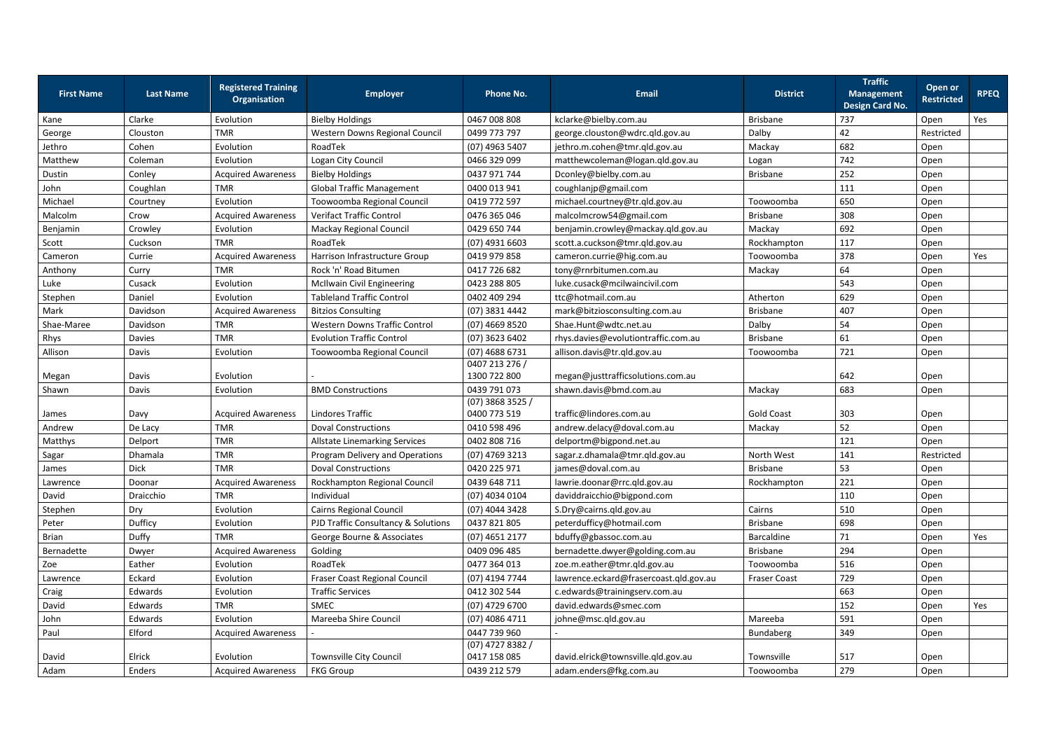| <b>First Name</b> | <b>Last Name</b> | <b>Registered Training</b><br><b>Organisation</b> | <b>Employer</b>                      | <b>Phone No.</b>                   | Email                                  | <b>District</b>     | <b>Traffic</b><br><b>Management</b><br>Design Card No. | Open or<br><b>Restricted</b> | <b>RPEQ</b> |
|-------------------|------------------|---------------------------------------------------|--------------------------------------|------------------------------------|----------------------------------------|---------------------|--------------------------------------------------------|------------------------------|-------------|
| Kane              | Clarke           | Evolution                                         | <b>Bielby Holdings</b>               | 0467 008 808                       | kclarke@bielby.com.au                  | <b>Brisbane</b>     | 737                                                    | Open                         | Yes         |
| George            | Clouston         | <b>TMR</b>                                        | Western Downs Regional Council       | 0499 773 797                       | george.clouston@wdrc.qld.gov.au        | Dalby               | 42                                                     | Restricted                   |             |
| Jethro            | Cohen            | Evolution                                         | RoadTek                              | $(07)$ 4963 5407                   | jethro.m.cohen@tmr.qld.gov.au          | Mackay              | 682                                                    | Open                         |             |
| Matthew           | Coleman          | Evolution                                         | Logan City Council                   | 0466 329 099                       | matthewcoleman@logan.qld.gov.au        | Logan               | 742                                                    | Open                         |             |
| Dustin            | Conley           | <b>Acquired Awareness</b>                         | <b>Bielby Holdings</b>               | 0437 971 744                       | Dconley@bielby.com.au                  | <b>Brisbane</b>     | 252                                                    | Open                         |             |
| John              | Coughlan         | <b>TMR</b>                                        | <b>Global Traffic Management</b>     | 0400 013 941                       | coughlanjp@gmail.com                   |                     | 111                                                    | Open                         |             |
| Michael           | Courtney         | Evolution                                         | Toowoomba Regional Council           | 0419 772 597                       | michael.courtney@tr.qld.gov.au         | Toowoomba           | 650                                                    | Open                         |             |
| Malcolm           | Crow             | <b>Acquired Awareness</b>                         | <b>Verifact Traffic Control</b>      | 0476 365 046                       | malcolmcrow54@gmail.com                | <b>Brisbane</b>     | 308                                                    | Open                         |             |
| Benjamin          | Crowley          | Evolution                                         | Mackay Regional Council              | 0429 650 744                       | benjamin.crowley@mackay.qld.gov.au     | Mackay              | 692                                                    | Open                         |             |
| Scott             | Cuckson          | <b>TMR</b>                                        | RoadTek                              | $(07)$ 4931 6603                   | scott.a.cuckson@tmr.qld.gov.au         | Rockhampton         | 117                                                    | Open                         |             |
| Cameron           | Currie           | <b>Acquired Awareness</b>                         | Harrison Infrastructure Group        | 0419 979 858                       | cameron.currie@hig.com.au              | Toowoomba           | 378                                                    | Open                         | Yes         |
| Anthony           | Curry            | <b>TMR</b>                                        | Rock 'n' Road Bitumen                | 0417 726 682                       | tony@rnrbitumen.com.au                 | Mackay              | 64                                                     | Open                         |             |
| Luke              | Cusack           | Evolution                                         | <b>McIlwain Civil Engineering</b>    | 0423 288 805                       | luke.cusack@mcilwaincivil.com          |                     | 543                                                    | Open                         |             |
| Stephen           | Daniel           | Evolution                                         | <b>Tableland Traffic Control</b>     | 0402 409 294                       | ttc@hotmail.com.au                     | Atherton            | 629                                                    | Open                         |             |
| Mark              | Davidson         | <b>Acquired Awareness</b>                         | <b>Bitzios Consulting</b>            | (07) 3831 4442                     | mark@bitziosconsulting.com.au          | <b>Brisbane</b>     | 407                                                    | Open                         |             |
| Shae-Maree        | Davidson         | <b>TMR</b>                                        | <b>Western Downs Traffic Control</b> | $(07)$ 4669 8520                   | Shae.Hunt@wdtc.net.au                  | Dalby               | 54                                                     | Open                         |             |
| Rhys              | <b>Davies</b>    | <b>TMR</b>                                        | <b>Evolution Traffic Control</b>     | $(07)$ 3623 6402                   | rhys.davies@evolutiontraffic.com.au    | <b>Brisbane</b>     | 61                                                     | Open                         |             |
| Allison           | Davis            | Evolution                                         | Toowoomba Regional Council           | (07) 4688 6731                     | allison.davis@tr.qld.gov.au            | Toowoomba           | 721                                                    | Open                         |             |
|                   |                  |                                                   |                                      | 0407 213 276 /                     |                                        |                     |                                                        |                              |             |
| Megan             | Davis            | Evolution                                         |                                      | 1300 722 800                       | megan@justtrafficsolutions.com.au      |                     | 642                                                    | Open                         |             |
| Shawn             | Davis            | Evolution                                         | <b>BMD Constructions</b>             | 0439 791 073                       | shawn.davis@bmd.com.au                 | Mackay              | 683                                                    | Open                         |             |
| James             | Davy             | <b>Acquired Awareness</b>                         | Lindores Traffic                     | $(07)$ 3868 3525 /<br>0400 773 519 | traffic@lindores.com.au                | <b>Gold Coast</b>   | 303                                                    | Open                         |             |
| Andrew            | De Lacy          | <b>TMR</b>                                        | <b>Doval Constructions</b>           | 0410 598 496                       | andrew.delacy@doval.com.au             | Mackay              | 52                                                     | Open                         |             |
| Matthys           | Delport          | <b>TMR</b>                                        | <b>Allstate Linemarking Services</b> | 0402 808 716                       | delportm@bigpond.net.au                |                     | 121                                                    | Open                         |             |
| Sagar             | Dhamala          | <b>TMR</b>                                        | Program Delivery and Operations      | $(07)$ 4769 3213                   | sagar.z.dhamala@tmr.qld.gov.au         | North West          | 141                                                    | Restricted                   |             |
| James             | <b>Dick</b>      | <b>TMR</b>                                        | <b>Doval Constructions</b>           | 0420 225 971                       | james@doval.com.au                     | Brisbane            | 53                                                     | Open                         |             |
| Lawrence          | Doonar           | <b>Acquired Awareness</b>                         | Rockhampton Regional Council         | 0439 648 711                       | lawrie.doonar@rrc.qld.gov.au           | Rockhampton         | 221                                                    | Open                         |             |
| David             | Draicchio        | <b>TMR</b>                                        | Individual                           | (07) 4034 0104                     | daviddraicchio@bigpond.com             |                     | 110                                                    | Open                         |             |
| Stephen           | Dry              | Evolution                                         | Cairns Regional Council              | (07) 4044 3428                     | S.Dry@cairns.qld.gov.au                | Cairns              | 510                                                    | Open                         |             |
| Peter             | Dufficy          | Evolution                                         | PJD Traffic Consultancy & Solutions  | 0437 821 805                       | peterdufficy@hotmail.com               | <b>Brisbane</b>     | 698                                                    | Open                         |             |
| <b>Brian</b>      | Duffy            | <b>TMR</b>                                        | George Bourne & Associates           | $(07)$ 4651 2177                   | bduffy@gbassoc.com.au                  | <b>Barcaldine</b>   | 71                                                     | Open                         | Yes         |
| Bernadette        | Dwyer            | <b>Acquired Awareness</b>                         | Golding                              | 0409 096 485                       | bernadette.dwyer@golding.com.au        | <b>Brisbane</b>     | 294                                                    | Open                         |             |
| Zoe               | Eather           | Evolution                                         | RoadTek                              | 0477 364 013                       | zoe.m.eather@tmr.qld.gov.au            | Toowoomba           | 516                                                    | Open                         |             |
| Lawrence          | Eckard           | Evolution                                         | <b>Fraser Coast Regional Council</b> | (07) 4194 7744                     | lawrence.eckard@frasercoast.qld.gov.au | <b>Fraser Coast</b> | 729                                                    | Open                         |             |
| Craig             | Edwards          | Evolution                                         | <b>Traffic Services</b>              | 0412 302 544                       | c.edwards@trainingserv.com.au          |                     | 663                                                    | Open                         |             |
| David             | Edwards          | <b>TMR</b>                                        | SMEC                                 | $(07)$ 4729 6700                   | david.edwards@smec.com                 |                     | 152                                                    | Open                         | Yes         |
| John              | Edwards          | Evolution                                         | Mareeba Shire Council                | (07) 4086 4711                     | johne@msc.qld.gov.au                   | Mareeba             | 591                                                    | Open                         |             |
| Paul              | Elford           | <b>Acquired Awareness</b>                         |                                      | 0447 739 960                       |                                        | Bundaberg           | 349                                                    | Open                         |             |
|                   |                  |                                                   |                                      | $(07)$ 4727 8382 /                 |                                        |                     |                                                        |                              |             |
| David             | Elrick           | Evolution                                         | Townsville City Council              | 0417 158 085                       | david.elrick@townsville.qld.gov.au     | Townsville          | 517                                                    | Open                         |             |
| Adam              | Enders           | <b>Acquired Awareness</b>                         | <b>FKG Group</b>                     | 0439 212 579                       | adam.enders@fkg.com.au                 | Toowoomba           | 279                                                    | Open                         |             |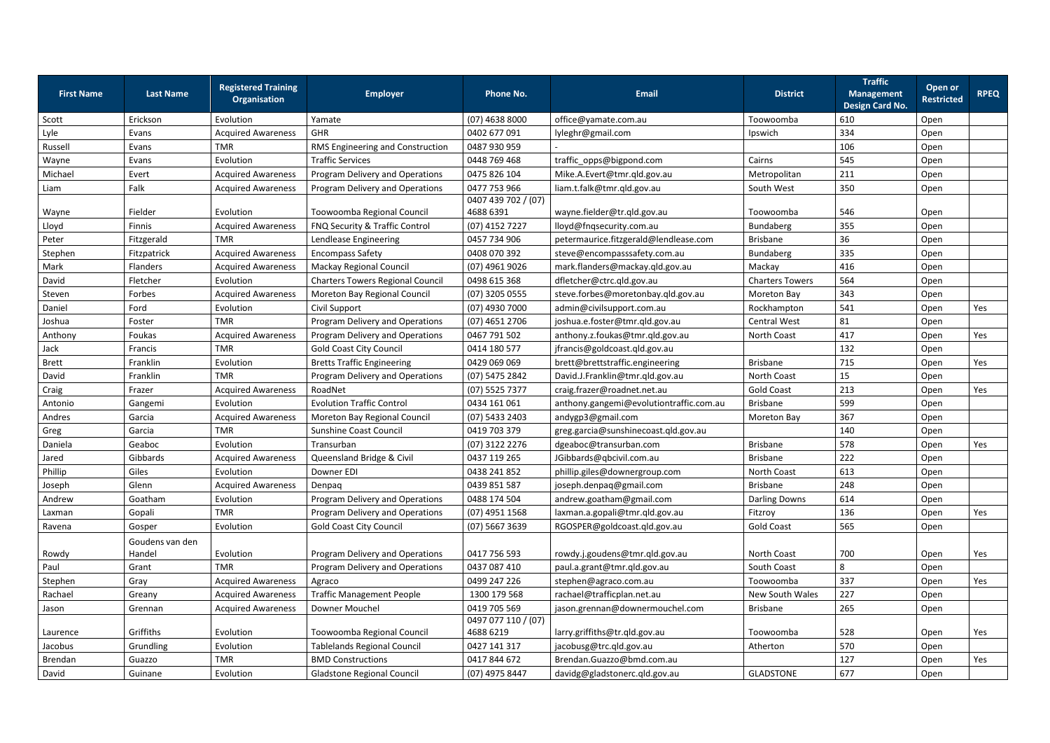|                   |                  | <b>Registered Training</b> |                                         |                     |                                         |                        | <b>Traffic</b>                              | Open or           |             |
|-------------------|------------------|----------------------------|-----------------------------------------|---------------------|-----------------------------------------|------------------------|---------------------------------------------|-------------------|-------------|
| <b>First Name</b> | <b>Last Name</b> | <b>Organisation</b>        | <b>Employer</b>                         | <b>Phone No.</b>    | <b>Email</b>                            | <b>District</b>        | <b>Management</b><br><b>Design Card No.</b> | <b>Restricted</b> | <b>RPEQ</b> |
| Scott             | Erickson         | Evolution                  | Yamate                                  | $(07)$ 4638 8000    | office@yamate.com.au                    | Toowoomba              | 610                                         | Open              |             |
| Lyle              | Evans            | <b>Acquired Awareness</b>  | GHR                                     | 0402 677 091        | lyleghr@gmail.com                       | Ipswich                | 334                                         | Open              |             |
| Russell           | Evans            | <b>TMR</b>                 | RMS Engineering and Construction        | 0487 930 959        |                                         |                        | 106                                         | Open              |             |
| Wayne             | Evans            | Evolution                  | <b>Traffic Services</b>                 | 0448 769 468        | traffic_opps@bigpond.com                | Cairns                 | 545                                         | Open              |             |
| Michael           | Evert            | <b>Acquired Awareness</b>  | Program Delivery and Operations         | 0475 826 104        | Mike.A.Evert@tmr.qld.gov.au             | Metropolitan           | 211                                         | Open              |             |
| Liam              | Falk             | <b>Acquired Awareness</b>  | Program Delivery and Operations         | 0477 753 966        | liam.t.falk@tmr.qld.gov.au              | South West             | 350                                         | Open              |             |
|                   |                  |                            |                                         | 0407 439 702 / (07) |                                         |                        |                                             |                   |             |
| Wayne             | Fielder          | Evolution                  | Toowoomba Regional Council              | 4688 6391           | wayne.fielder@tr.qld.gov.au             | Toowoomba              | 546                                         | Open              |             |
| Lloyd             | Finnis           | <b>Acquired Awareness</b>  | FNQ Security & Traffic Control          | (07) 4152 7227      | lloyd@fnqsecurity.com.au                | Bundaberg              | 355                                         | Open              |             |
| Peter             | Fitzgerald       | <b>TMR</b>                 | Lendlease Engineering                   | 0457 734 906        | petermaurice.fitzgerald@lendlease.com   | Brisbane               | 36                                          | Open              |             |
| Stephen           | Fitzpatrick      | <b>Acquired Awareness</b>  | <b>Encompass Safety</b>                 | 0408 070 392        | steve@encompasssafety.com.au            | Bundaberg              | 335                                         | Open              |             |
| Mark              | Flanders         | <b>Acquired Awareness</b>  | Mackay Regional Council                 | (07) 4961 9026      | mark.flanders@mackay.qld.gov.au         | Mackay                 | 416                                         | Open              |             |
| David             | Fletcher         | Evolution                  | <b>Charters Towers Regional Council</b> | 0498 615 368        | dfletcher@ctrc.qld.gov.au               | <b>Charters Towers</b> | 564                                         | Open              |             |
| Steven            | Forbes           | <b>Acquired Awareness</b>  | Moreton Bay Regional Council            | (07) 3205 0555      | steve.forbes@moretonbay.qld.gov.au      | <b>Moreton Bay</b>     | 343                                         | Open              |             |
| Daniel            | Ford             | Evolution                  | Civil Support                           | $(07)$ 4930 7000    | admin@civilsupport.com.au               | Rockhampton            | 541                                         | Open              | Yes         |
| Joshua            | Foster           | <b>TMR</b>                 | Program Delivery and Operations         | $(07)$ 4651 2706    | joshua.e.foster@tmr.qld.gov.au          | <b>Central West</b>    | 81                                          | Open              |             |
| Anthony           | Foukas           | <b>Acquired Awareness</b>  | Program Delivery and Operations         | 0467 791 502        | anthony.z.foukas@tmr.qld.gov.au         | North Coast            | 417                                         | Open              | Yes         |
| Jack              | Francis          | <b>TMR</b>                 | <b>Gold Coast City Council</b>          | 0414 180 577        | jfrancis@goldcoast.qld.gov.au           |                        | 132                                         | Open              |             |
| <b>Brett</b>      | Franklin         | Evolution                  | <b>Bretts Traffic Engineering</b>       | 0429 069 069        | brett@brettstraffic.engineering         | <b>Brisbane</b>        | 715                                         | Open              | Yes         |
| David             | Franklin         | <b>TMR</b>                 | Program Delivery and Operations         | (07) 5475 2842      | David.J.Franklin@tmr.qld.gov.au         | North Coast            | 15                                          | Open              |             |
| Craig             | Frazer           | <b>Acquired Awareness</b>  | RoadNet                                 | (07) 5525 7377      | craig.frazer@roadnet.net.au             | <b>Gold Coast</b>      | 213                                         | Open              | Yes         |
| Antonio           | Gangemi          | Evolution                  | <b>Evolution Traffic Control</b>        | 0434 161 061        | anthony.gangemi@evolutiontraffic.com.au | Brisbane               | 599                                         | Open              |             |
| Andres            | Garcia           | <b>Acquired Awareness</b>  | Moreton Bay Regional Council            | (07) 5433 2403      | andygp3@gmail.com                       | <b>Moreton Bay</b>     | 367                                         | Open              |             |
| Greg              | Garcia           | <b>TMR</b>                 | <b>Sunshine Coast Council</b>           | 0419 703 379        | greg.garcia@sunshinecoast.qld.gov.au    |                        | 140                                         | Open              |             |
| Daniela           | Geaboc           | Evolution                  | Transurban                              | (07) 3122 2276      | dgeaboc@transurban.com                  | <b>Brisbane</b>        | 578                                         | Open              | Yes         |
| Jared             | Gibbards         | <b>Acquired Awareness</b>  | Queensland Bridge & Civil               | 0437 119 265        | JGibbards@qbcivil.com.au                | Brisbane               | 222                                         | Open              |             |
| Phillip           | Giles            | Evolution                  | Downer EDI                              | 0438 241 852        | phillip.giles@downergroup.com           | North Coast            | 613                                         | Open              |             |
| Joseph            | Glenn            | <b>Acquired Awareness</b>  | Denpaq                                  | 0439 851 587        | joseph.denpaq@gmail.com                 | <b>Brisbane</b>        | 248                                         | Open              |             |
| Andrew            | Goatham          | Evolution                  | Program Delivery and Operations         | 0488 174 504        | andrew.goatham@gmail.com                | <b>Darling Downs</b>   | 614                                         | Open              |             |
| Laxman            | Gopali           | <b>TMR</b>                 | Program Delivery and Operations         | (07) 4951 1568      | laxman.a.gopali@tmr.qld.gov.au          | Fitzroy                | 136                                         | Open              | Yes         |
| Ravena            | Gosper           | Evolution                  | <b>Gold Coast City Council</b>          | (07) 5667 3639      | RGOSPER@goldcoast.qld.gov.au            | <b>Gold Coast</b>      | 565                                         | Open              |             |
|                   | Goudens van den  |                            |                                         |                     |                                         |                        |                                             |                   |             |
| Rowdy             | Handel           | Evolution                  | Program Delivery and Operations         | 0417 756 593        | rowdy.j.goudens@tmr.qld.gov.au          | North Coast            | 700                                         | Open              | Yes         |
| Paul              | Grant            | <b>TMR</b>                 | Program Delivery and Operations         | 0437 087 410        | paul.a.grant@tmr.qld.gov.au             | South Coast            | 8                                           | Open              |             |
| Stephen           | Gray             | <b>Acquired Awareness</b>  | Agraco                                  | 0499 247 226        | stephen@agraco.com.au                   | Toowoomba              | 337                                         | Open              | Yes         |
| Rachael           | Greany           | <b>Acquired Awareness</b>  | <b>Traffic Management People</b>        | 1300 179 568        | rachael@trafficplan.net.au              | New South Wales        | 227                                         | Open              |             |
| Jason             | Grennan          | <b>Acquired Awareness</b>  | Downer Mouchel                          | 0419 705 569        | jason.grennan@downermouchel.com         | <b>Brisbane</b>        | 265                                         | Open              |             |
|                   |                  |                            |                                         | 0497 077 110 / (07) |                                         |                        |                                             |                   |             |
| Laurence          | Griffiths        | Evolution                  | Toowoomba Regional Council              | 4688 6219           | larry.griffiths@tr.qld.gov.au           | Toowoomba              | 528                                         | Open              | Yes         |
| Jacobus           | Grundling        | Evolution                  | <b>Tablelands Regional Council</b>      | 0427 141 317        | jacobusg@trc.qld.gov.au                 | Atherton               | 570                                         | Open              |             |
| Brendan           | Guazzo           | <b>TMR</b>                 | <b>BMD Constructions</b>                | 0417 844 672        | Brendan.Guazzo@bmd.com.au               |                        | 127                                         | Open              | Yes         |
| David             | Guinane          | Evolution                  | <b>Gladstone Regional Council</b>       | (07) 4975 8447      | davidg@gladstonerc.qld.gov.au           | <b>GLADSTONE</b>       | 677                                         | Open              |             |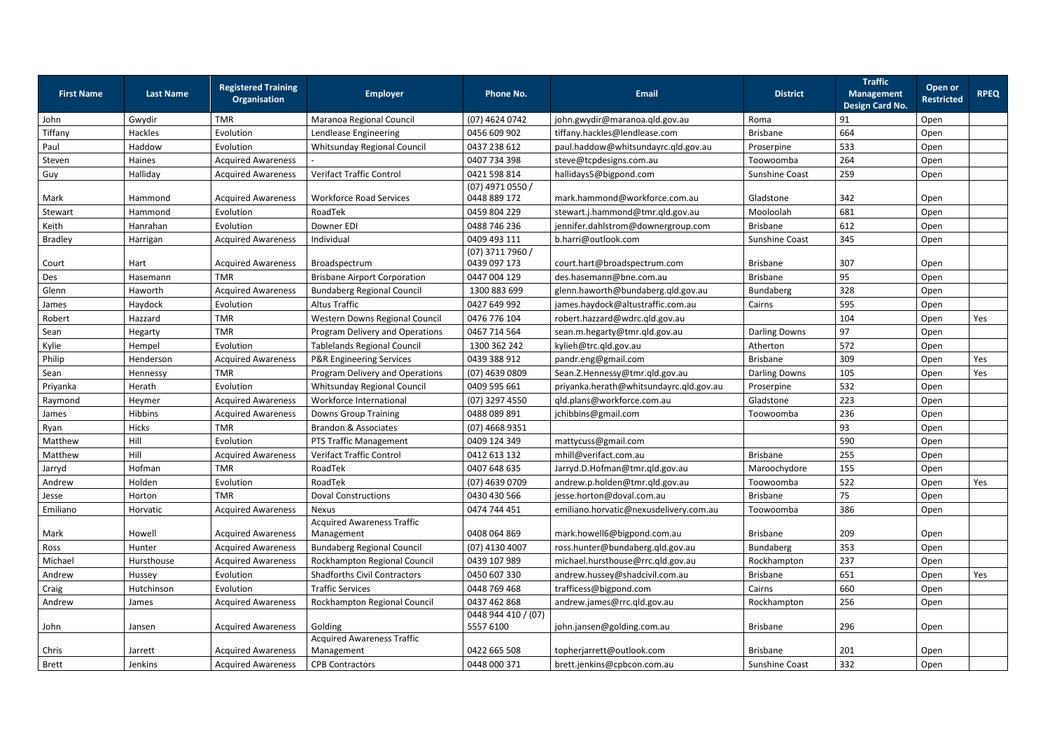|                   |                  | <b>Registered Training</b> |                                     |                     |                                         |                       | <b>Traffic</b>                       | <b>Open or</b>    |             |
|-------------------|------------------|----------------------------|-------------------------------------|---------------------|-----------------------------------------|-----------------------|--------------------------------------|-------------------|-------------|
| <b>First Name</b> | <b>Last Name</b> | <b>Organisation</b>        | <b>Employer</b>                     | <b>Phone No.</b>    | <b>Email</b>                            | <b>District</b>       | <b>Management</b><br>Design Card No. | <b>Restricted</b> | <b>RPEQ</b> |
| John              | Gwydir           | <b>TMR</b>                 | Maranoa Regional Council            | (07) 4624 0742      | john.gwydir@maranoa.qld.gov.au          | Roma                  | 91                                   | Open              |             |
| Tiffany           | Hackles          | Evolution                  | Lendlease Engineering               | 0456 609 902        | tiffany.hackles@lendlease.com           | <b>Brisbane</b>       | 664                                  | Open              |             |
| Paul              | Haddow           | Evolution                  | Whitsunday Regional Council         | 0437 238 612        | paul.haddow@whitsundayrc.qld.gov.au     | Proserpine            | 533                                  | Open              |             |
| Steven            | Haines           | <b>Acquired Awareness</b>  |                                     | 0407 734 398        | steve@tcpdesigns.com.au                 | Toowoomba             | 264                                  | Open              |             |
| Guy               | Halliday         | <b>Acquired Awareness</b>  | <b>Verifact Traffic Control</b>     | 0421 598 814        | hallidays5@bigpond.com                  | <b>Sunshine Coast</b> | 259                                  | Open              |             |
|                   |                  |                            |                                     | $(07)$ 4971 0550 /  |                                         |                       |                                      |                   |             |
| Mark              | Hammond          | <b>Acquired Awareness</b>  | <b>Workforce Road Services</b>      | 0448 889 172        | mark.hammond@workforce.com.au           | Gladstone             | 342                                  | Open              |             |
| Stewart           | Hammond          | Evolution                  | RoadTek                             | 0459 804 229        | stewart.j.hammond@tmr.qld.gov.au        | Mooloolah             | 681                                  | Open              |             |
| Keith             | Hanrahan         | Evolution                  | Downer EDI                          | 0488 746 236        | jennifer.dahlstrom@downergroup.com      | <b>Brisbane</b>       | 612                                  | Open              |             |
| <b>Bradley</b>    | Harrigan         | <b>Acquired Awareness</b>  | Individual                          | 0409 493 111        | b.harri@outlook.com                     | Sunshine Coast        | 345                                  | Open              |             |
|                   |                  |                            |                                     | (07) 3711 7960 /    |                                         |                       |                                      |                   |             |
| Court             | Hart             | <b>Acquired Awareness</b>  | Broadspectrum                       | 0439 097 173        | court.hart@broadspectrum.com            | <b>Brisbane</b>       | 307                                  | Open              |             |
| Des               | Hasemann         | <b>TMR</b>                 | <b>Brisbane Airport Corporation</b> | 0447 004 129        | des.hasemann@bne.com.au                 | <b>Brisbane</b>       | 95                                   | Open              |             |
| Glenn             | Haworth          | <b>Acquired Awareness</b>  | <b>Bundaberg Regional Council</b>   | 1300 883 699        | glenn.haworth@bundaberg.qld.gov.au      | Bundaberg             | 328                                  | Open              |             |
| James             | Haydock          | Evolution                  | <b>Altus Traffic</b>                | 0427 649 992        | james.haydock@altustraffic.com.au       | Cairns                | 595                                  | Open              |             |
| Robert            | Hazzard          | <b>TMR</b>                 | Western Downs Regional Council      | 0476 776 104        | robert.hazzard@wdrc.qld.gov.au          |                       | 104                                  | Open              | Yes         |
| Sean              | Hegarty          | <b>TMR</b>                 | Program Delivery and Operations     | 0467 714 564        | sean.m.hegarty@tmr.qld.gov.au           | <b>Darling Downs</b>  | 97                                   | Open              |             |
| Kylie             | Hempel           | Evolution                  | <b>Tablelands Regional Council</b>  | 1300 362 242        | kylieh@trc.qld.gov.au                   | Atherton              | 572                                  | Open              |             |
| Philip            | Henderson        | <b>Acquired Awareness</b>  | <b>P&amp;R Engineering Services</b> | 0439 388 912        | pandr.eng@gmail.com                     | <b>Brisbane</b>       | 309                                  | Open              | Yes         |
| Sean              | Hennessy         | <b>TMR</b>                 | Program Delivery and Operations     | $(07)$ 4639 0809    | Sean.Z.Hennessy@tmr.qld.gov.au          | Darling Downs         | 105                                  | Open              | Yes         |
| Priyanka          | Herath           | Evolution                  | Whitsunday Regional Council         | 0409 595 661        | priyanka.herath@whitsundayrc.qld.gov.au | Proserpine            | 532                                  | Open              |             |
| Raymond           | Heymer           | <b>Acquired Awareness</b>  | Workforce International             | (07) 3297 4550      | qld.plans@workforce.com.au              | Gladstone             | 223                                  | Open              |             |
| James             | Hibbins          | <b>Acquired Awareness</b>  | <b>Downs Group Training</b>         | 0488 089 891        | jchibbins@gmail.com                     | Toowoomba             | 236                                  | Open              |             |
| Ryan              | Hicks            | <b>TMR</b>                 | <b>Brandon &amp; Associates</b>     | $(07)$ 4668 9351    |                                         |                       | 93                                   | Open              |             |
| Matthew           | Hill             | Evolution                  | PTS Traffic Management              | 0409 124 349        | mattycuss@gmail.com                     |                       | 590                                  | Open              |             |
| Matthew           | Hill             | <b>Acquired Awareness</b>  | <b>Verifact Traffic Control</b>     | 0412 613 132        | mhill@verifact.com.au                   | <b>Brisbane</b>       | 255                                  | Open              |             |
| Jarryd            | Hofman           | <b>TMR</b>                 | RoadTek                             | 0407 648 635        | Jarryd.D.Hofman@tmr.qld.gov.au          | Maroochydore          | 155                                  | Open              |             |
| Andrew            | Holden           | Evolution                  | RoadTek                             | $(07)$ 4639 0709    | andrew.p.holden@tmr.qld.gov.au          | Toowoomba             | 522                                  | Open              | Yes         |
| Jesse             | Horton           | <b>TMR</b>                 | <b>Doval Constructions</b>          | 0430 430 566        | jesse.horton@doval.com.au               | <b>Brisbane</b>       | 75                                   | Open              |             |
| Emiliano          | Horvatic         | <b>Acquired Awareness</b>  | <b>Nexus</b>                        | 0474 744 451        | emiliano.horvatic@nexusdelivery.com.au  | Toowoomba             | 386                                  | Open              |             |
|                   |                  |                            | <b>Acquired Awareness Traffic</b>   |                     |                                         |                       |                                      |                   |             |
| Mark              | Howell           | <b>Acquired Awareness</b>  | Management                          | 0408 064 869        | mark.howell6@bigpond.com.au             | <b>Brisbane</b>       | 209                                  | Open              |             |
| Ross              | Hunter           | <b>Acquired Awareness</b>  | <b>Bundaberg Regional Council</b>   | $(07)$ 4130 4007    | ross.hunter@bundaberg.qld.gov.au        | Bundaberg             | 353                                  | Open              |             |
| Michael           | Hursthouse       | <b>Acquired Awareness</b>  | Rockhampton Regional Council        | 0439 107 989        | michael.hursthouse@rrc.qld.gov.au       | Rockhampton           | 237                                  | Open              |             |
| Andrew            | Hussey           | Evolution                  | <b>Shadforths Civil Contractors</b> | 0450 607 330        | andrew.hussey@shadcivil.com.au          | <b>Brisbane</b>       | 651                                  | Open              | Yes         |
| Craig             | Hutchinson       | Evolution                  | <b>Traffic Services</b>             | 0448 769 468        | trafficess@bigpond.com                  | Cairns                | 660                                  | Open              |             |
| Andrew            | James            | <b>Acquired Awareness</b>  | Rockhampton Regional Council        | 0437 462 868        | andrew.james@rrc.qld.gov.au             | Rockhampton           | 256                                  | Open              |             |
|                   |                  |                            |                                     | 0448 944 410 / (07) |                                         |                       |                                      |                   |             |
| John              | Jansen           | <b>Acquired Awareness</b>  | Golding                             | 5557 6100           | john.jansen@golding.com.au              | <b>Brisbane</b>       | 296                                  | Open              |             |
|                   |                  |                            | <b>Acquired Awareness Traffic</b>   |                     |                                         |                       |                                      |                   |             |
| Chris             | Jarrett          | <b>Acquired Awareness</b>  | Management                          | 0422 665 508        | topherjarrett@outlook.com               | <b>Brisbane</b>       | 201                                  | Open              |             |
| <b>Brett</b>      | Jenkins          | <b>Acquired Awareness</b>  | <b>CPB Contractors</b>              | 0448 000 371        | brett.jenkins@cpbcon.com.au             | Sunshine Coast        | 332                                  | Open              |             |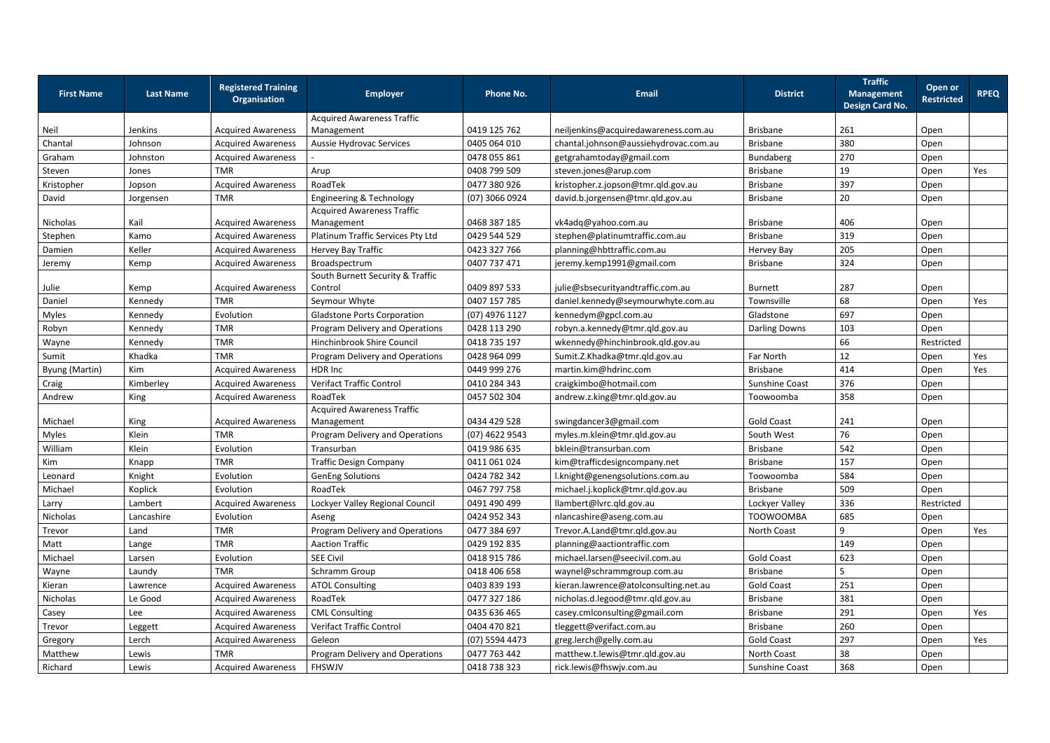| <b>First Name</b>     | <b>Last Name</b> | <b>Registered Training</b><br>Organisation | <b>Employer</b>                                 | <b>Phone No.</b> | <b>Email</b>                          | <b>District</b>       | <b>Traffic</b><br><b>Management</b><br><b>Design Card No.</b> | <b>Open or</b><br><b>Restricted</b> | <b>RPEQ</b> |
|-----------------------|------------------|--------------------------------------------|-------------------------------------------------|------------------|---------------------------------------|-----------------------|---------------------------------------------------------------|-------------------------------------|-------------|
|                       |                  |                                            | <b>Acquired Awareness Traffic</b>               |                  |                                       |                       |                                                               |                                     |             |
| Neil                  | Jenkins          | <b>Acquired Awareness</b>                  | Management                                      | 0419 125 762     | neiljenkins@acquiredawareness.com.au  | <b>Brisbane</b>       | 261                                                           | Open                                |             |
| Chantal               | Johnson          | <b>Acquired Awareness</b>                  | Aussie Hydrovac Services                        | 0405 064 010     | chantal.johnson@aussiehydrovac.com.au | <b>Brisbane</b>       | 380                                                           | Open                                |             |
| Graham                | Johnston         | <b>Acquired Awareness</b>                  |                                                 | 0478 055 861     | getgrahamtoday@gmail.com              | Bundaberg             | 270                                                           | Open                                |             |
| Steven                | Jones            | <b>TMR</b>                                 | Arup                                            | 0408 799 509     | steven.jones@arup.com                 | <b>Brisbane</b>       | 19                                                            | Open                                | Yes         |
| Kristopher            | Jopson           | <b>Acquired Awareness</b>                  | RoadTek                                         | 0477 380 926     | kristopher.z.jopson@tmr.qld.gov.au    | <b>Brisbane</b>       | 397                                                           | Open                                |             |
| David                 | Jorgensen        | <b>TMR</b>                                 | <b>Engineering &amp; Technology</b>             | (07) 3066 0924   | david.b.jorgensen@tmr.qld.gov.au      | <b>Brisbane</b>       | 20                                                            | Open                                |             |
| Nicholas              | Kail             | <b>Acquired Awareness</b>                  | <b>Acquired Awareness Traffic</b><br>Management | 0468 387 185     | vk4adq@yahoo.com.au                   | <b>Brisbane</b>       | 406                                                           | Open                                |             |
| Stephen               | Kamo             | <b>Acquired Awareness</b>                  | Platinum Traffic Services Pty Ltd               | 0429 544 529     | stephen@platinumtraffic.com.au        | <b>Brisbane</b>       | 319                                                           | Open                                |             |
| Damien                | Keller           | <b>Acquired Awareness</b>                  | Hervey Bay Traffic                              | 0423 327 766     | planning@hbttraffic.com.au            | Hervey Bay            | 205                                                           | Open                                |             |
| Jeremy                | Kemp             | <b>Acquired Awareness</b>                  | Broadspectrum                                   | 0407 737 471     | jeremy.kemp1991@gmail.com             | <b>Brisbane</b>       | 324                                                           | Open                                |             |
|                       |                  |                                            | South Burnett Security & Traffic                |                  |                                       |                       |                                                               |                                     |             |
| Julie                 | Kemp             | <b>Acquired Awareness</b>                  | Control                                         | 0409 897 533     | julie@sbsecurityandtraffic.com.au     | <b>Burnett</b>        | 287                                                           | Open                                |             |
| Daniel                | Kennedy          | <b>TMR</b>                                 | Seymour Whyte                                   | 0407 157 785     | daniel.kennedy@seymourwhyte.com.au    | Townsville            | 68                                                            | Open                                | Yes         |
| Myles                 | Kennedy          | Evolution                                  | <b>Gladstone Ports Corporation</b>              | (07) 4976 1127   | kennedym@gpcl.com.au                  | Gladstone             | 697                                                           | Open                                |             |
| Robyn                 | Kennedy          | <b>TMR</b>                                 | Program Delivery and Operations                 | 0428 113 290     | robyn.a.kennedy@tmr.qld.gov.au        | <b>Darling Downs</b>  | 103                                                           | Open                                |             |
| Wayne                 | Kennedy          | <b>TMR</b>                                 | Hinchinbrook Shire Council                      | 0418 735 197     | wkennedy@hinchinbrook.qld.gov.au      |                       | 66                                                            | Restricted                          |             |
| Sumit                 | Khadka           | <b>TMR</b>                                 | Program Delivery and Operations                 | 0428 964 099     | Sumit.Z.Khadka@tmr.qld.gov.au         | Far North             | 12                                                            | Open                                | Yes         |
| <b>Byung (Martin)</b> | Kim              | <b>Acquired Awareness</b>                  | HDR Inc                                         | 0449 999 276     | martin.kim@hdrinc.com                 | <b>Brisbane</b>       | 414                                                           | Open                                | Yes         |
| Craig                 | Kimberley        | <b>Acquired Awareness</b>                  | <b>Verifact Traffic Control</b>                 | 0410 284 343     | craigkimbo@hotmail.com                | <b>Sunshine Coast</b> | 376                                                           | Open                                |             |
| Andrew                | King             | <b>Acquired Awareness</b>                  | RoadTek                                         | 0457 502 304     | andrew.z.king@tmr.qld.gov.au          | Toowoomba             | 358                                                           | Open                                |             |
| Michael               | King             | <b>Acquired Awareness</b>                  | <b>Acquired Awareness Traffic</b><br>Management | 0434 429 528     | swingdancer3@gmail.com                | <b>Gold Coast</b>     | 241                                                           | Open                                |             |
| Myles                 | Klein            | <b>TMR</b>                                 | Program Delivery and Operations                 | (07) 4622 9543   | myles.m.klein@tmr.qld.gov.au          | South West            | 76                                                            | Open                                |             |
| William               | Klein            | Evolution                                  | Transurban                                      | 0419 986 635     | bklein@transurban.com                 | <b>Brisbane</b>       | 542                                                           | Open                                |             |
| Kim                   | Knapp            | <b>TMR</b>                                 | <b>Traffic Design Company</b>                   | 0411 061 024     | kim@trafficdesigncompany.net          | <b>Brisbane</b>       | 157                                                           | Open                                |             |
| Leonard               | Knight           | Evolution                                  | <b>GenEng Solutions</b>                         | 0424 782 342     | l.knight@genengsolutions.com.au       | Toowoomba             | 584                                                           | Open                                |             |
| Michael               | Koplick          | Evolution                                  | RoadTek                                         | 0467 797 758     | michael.j.koplick@tmr.qld.gov.au      | <b>Brisbane</b>       | 509                                                           | Open                                |             |
| Larry                 | Lambert          | <b>Acquired Awareness</b>                  | Lockyer Valley Regional Council                 | 0491 490 499     | llambert@lvrc.qld.gov.au              | Lockyer Valley        | 336                                                           | Restricted                          |             |
| Nicholas              | Lancashire       | Evolution                                  | Aseng                                           | 0424 952 343     | nlancashire@aseng.com.au              | <b>TOOWOOMBA</b>      | 685                                                           | Open                                |             |
| Trevor                | Land             | <b>TMR</b>                                 | Program Delivery and Operations                 | 0477 384 697     | Trevor.A.Land@tmr.qld.gov.au          | North Coast           | 9                                                             | Open                                | Yes         |
| Matt                  | Lange            | <b>TMR</b>                                 | <b>Aaction Traffic</b>                          | 0429 192 835     | planning@aactiontraffic.com           |                       | 149                                                           | Open                                |             |
| Michael               | Larsen           | Evolution                                  | <b>SEE Civil</b>                                | 0418 915 786     | michael.larsen@seecivil.com.au        | <b>Gold Coast</b>     | 623                                                           | Open                                |             |
|                       |                  | <b>TMR</b>                                 | Schramm Group                                   | 0418 406 658     | waynel@schrammgroup.com.au            | <b>Brisbane</b>       | 5                                                             |                                     |             |
| Wayne                 | Laundy           | <b>Acquired Awareness</b>                  |                                                 |                  | kieran.lawrence@atolconsulting.net.au |                       | 251                                                           | Open                                |             |
| Kieran                | Lawrence         |                                            | <b>ATOL Consulting</b>                          | 0403 839 193     |                                       | <b>Gold Coast</b>     |                                                               | Open                                |             |
| Nicholas              | Le Good          | <b>Acquired Awareness</b>                  | RoadTek                                         | 0477 327 186     | nicholas.d.legood@tmr.qld.gov.au      | <b>Brisbane</b>       | 381                                                           | Open                                |             |
| Casey                 | Lee              | <b>Acquired Awareness</b>                  | <b>CML Consulting</b>                           | 0435 636 465     | casey.cmlconsulting@gmail.com         | <b>Brisbane</b>       | 291                                                           | Open                                | Yes         |
| Trevor                | Leggett          | <b>Acquired Awareness</b>                  | <b>Verifact Traffic Control</b>                 | 0404 470 821     | tleggett@verifact.com.au              | <b>Brisbane</b>       | 260                                                           | Open                                |             |
| Gregory               | Lerch            | <b>Acquired Awareness</b>                  | Geleon                                          | (07) 5594 4473   | greg.lerch@gelly.com.au               | <b>Gold Coast</b>     | 297                                                           | Open                                | Yes         |
| Matthew               | Lewis            | <b>TMR</b>                                 | Program Delivery and Operations                 | 0477 763 442     | matthew.t.lewis@tmr.qld.gov.au        | North Coast           | 38                                                            | Open                                |             |
| Richard               | Lewis            | <b>Acquired Awareness</b>                  | FHSWJV                                          | 0418 738 323     | rick.lewis@fhswjv.com.au              | Sunshine Coast        | 368                                                           | Open                                |             |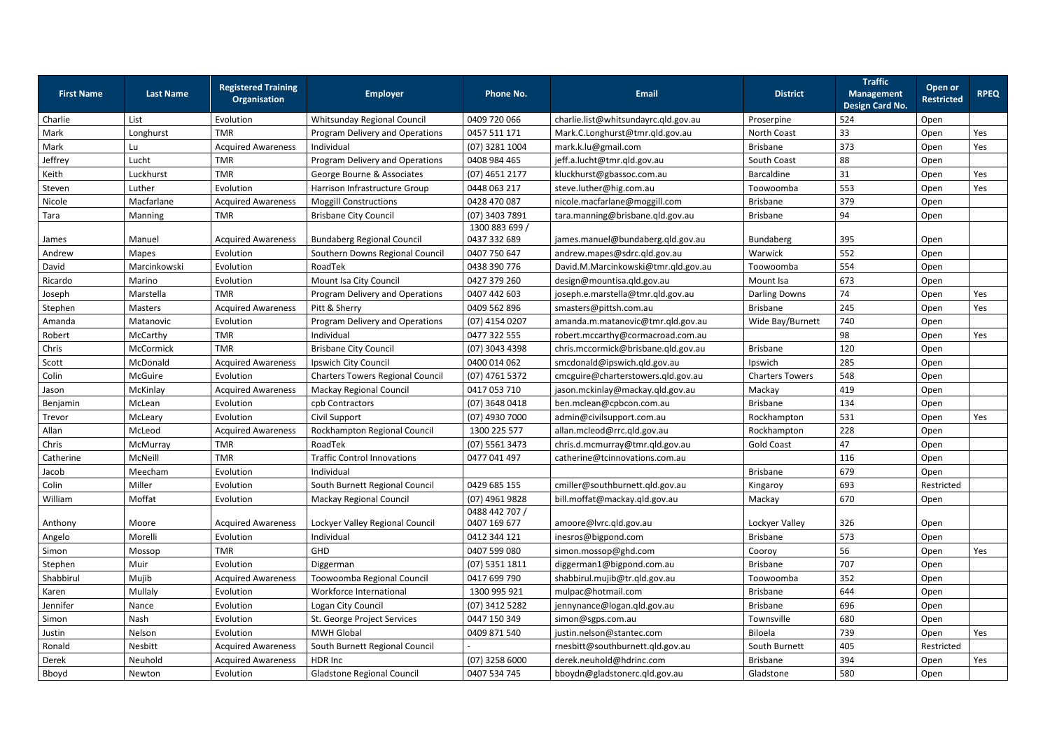| <b>First Name</b> | <b>Last Name</b> | <b>Registered Training</b><br><b>Organisation</b> | <b>Employer</b>                         | <b>Phone No.</b>               | <b>Email</b>                         | <b>District</b>        | <b>Traffic</b><br><b>Management</b><br><b>Design Card No.</b> | Open or<br><b>Restricted</b> | <b>RPEQ</b> |
|-------------------|------------------|---------------------------------------------------|-----------------------------------------|--------------------------------|--------------------------------------|------------------------|---------------------------------------------------------------|------------------------------|-------------|
| Charlie           | List             | Evolution                                         | Whitsunday Regional Council             | 0409 720 066                   | charlie.list@whitsundayrc.qld.gov.au | Proserpine             | 524                                                           | Open                         |             |
| Mark              | Longhurst        | <b>TMR</b>                                        | Program Delivery and Operations         | 0457 511 171                   | Mark.C.Longhurst@tmr.qld.gov.au      | North Coast            | 33                                                            | Open                         | Yes         |
| Mark              | Lu               | <b>Acquired Awareness</b>                         | Individual                              | (07) 3281 1004                 | mark.k.lu@gmail.com                  | <b>Brisbane</b>        | 373                                                           | Open                         | Yes         |
| Jeffrey           | Lucht            | <b>TMR</b>                                        | Program Delivery and Operations         | 0408 984 465                   | jeff.a.lucht@tmr.qld.gov.au          | South Coast            | 88                                                            | Open                         |             |
| Keith             | Luckhurst        | <b>TMR</b>                                        | George Bourne & Associates              | $(07)$ 4651 2177               | kluckhurst@gbassoc.com.au            | Barcaldine             | 31                                                            | Open                         | Yes         |
| Steven            | Luther           | Evolution                                         | Harrison Infrastructure Group           | 0448 063 217                   | steve.luther@hig.com.au              | Toowoomba              | 553                                                           | Open                         | Yes         |
| Nicole            | Macfarlane       | <b>Acquired Awareness</b>                         | <b>Moggill Constructions</b>            | 0428 470 087                   | nicole.macfarlane@moggill.com        | <b>Brisbane</b>        | 379                                                           | Open                         |             |
| Tara              | Manning          | <b>TMR</b>                                        | <b>Brisbane City Council</b>            | (07) 3403 7891                 | tara.manning@brisbane.qld.gov.au     | <b>Brisbane</b>        | 94                                                            | Open                         |             |
| James             | Manuel           | <b>Acquired Awareness</b>                         | <b>Bundaberg Regional Council</b>       | 1300 883 699 /<br>0437 332 689 | james.manuel@bundaberg.qld.gov.au    | Bundaberg              | 395                                                           | Open                         |             |
| Andrew            | <b>Mapes</b>     | Evolution                                         | Southern Downs Regional Council         | 0407 750 647                   | andrew.mapes@sdrc.qld.gov.au         | Warwick                | 552                                                           | Open                         |             |
| David             | Marcinkowski     | Evolution                                         | RoadTek                                 | 0438 390 776                   | David.M.Marcinkowski@tmr.qld.gov.au  | Toowoomba              | 554                                                           | Open                         |             |
| Ricardo           | Marino           | Evolution                                         | Mount Isa City Council                  | 0427 379 260                   | design@mountisa.qld.gov.au           | Mount Isa              | 673                                                           | Open                         |             |
| Joseph            | Marstella        | <b>TMR</b>                                        | Program Delivery and Operations         | 0407 442 603                   | joseph.e.marstella@tmr.qld.gov.au    | <b>Darling Downs</b>   | 74                                                            | Open                         | Yes         |
| Stephen           | <b>Masters</b>   | <b>Acquired Awareness</b>                         | Pitt & Sherry                           | 0409 562 896                   | smasters@pittsh.com.au               | <b>Brisbane</b>        | 245                                                           | Open                         | Yes         |
| Amanda            | Matanovic        | Evolution                                         | Program Delivery and Operations         | $(07)$ 4154 0207               | amanda.m.matanovic@tmr.qld.gov.au    | Wide Bay/Burnett       | 740                                                           | Open                         |             |
| Robert            | McCarthy         | <b>TMR</b>                                        | Individual                              | 0477 322 555                   | robert.mccarthy@cormacroad.com.au    |                        | 98                                                            | Open                         | Yes         |
| Chris             | McCormick        | <b>TMR</b>                                        | <b>Brisbane City Council</b>            | (07) 3043 4398                 | chris.mccormick@brisbane.qld.gov.au  | <b>Brisbane</b>        | 120                                                           | Open                         |             |
| Scott             | McDonald         | <b>Acquired Awareness</b>                         | Ipswich City Council                    | 0400 014 062                   | smcdonald@ipswich.qld.gov.au         | Ipswich                | 285                                                           | Open                         |             |
| Colin             | McGuire          | Evolution                                         | <b>Charters Towers Regional Council</b> | $(07)$ 4761 5372               | cmcguire@charterstowers.qld.gov.au   | <b>Charters Towers</b> | 548                                                           | Open                         |             |
| Jason             | McKinlay         | <b>Acquired Awareness</b>                         | <b>Mackay Regional Council</b>          | 0417 053 710                   | jason.mckinlay@mackay.qld.gov.au     | Mackay                 | 419                                                           | Open                         |             |
| Benjamin          | McLean           | Evolution                                         | cpb Contractors                         | (07) 3648 0418                 | ben.mclean@cpbcon.com.au             | <b>Brisbane</b>        | 134                                                           | Open                         |             |
| Trevor            | McLeary          | Evolution                                         | Civil Support                           | $(07)$ 4930 7000               | admin@civilsupport.com.au            | Rockhampton            | 531                                                           | Open                         | Yes         |
| Allan             | McLeod           | <b>Acquired Awareness</b>                         | Rockhampton Regional Council            | 1300 225 577                   | allan.mcleod@rrc.qld.gov.au          | Rockhampton            | 228                                                           | Open                         |             |
| Chris             | McMurray         | <b>TMR</b>                                        | RoadTek                                 | $(07)$ 5561 3473               | chris.d.mcmurray@tmr.qld.gov.au      | <b>Gold Coast</b>      | 47                                                            | Open                         |             |
| Catherine         | McNeill          | <b>TMR</b>                                        | <b>Traffic Control Innovations</b>      | 0477 041 497                   | catherine@tcinnovations.com.au       |                        | 116                                                           | Open                         |             |
| Jacob             | Meecham          | Evolution                                         | Individual                              |                                |                                      | <b>Brisbane</b>        | 679                                                           | Open                         |             |
| Colin             | Miller           | Evolution                                         | South Burnett Regional Council          | 0429 685 155                   | cmiller@southburnett.qld.gov.au      | Kingaroy               | 693                                                           | Restricted                   |             |
| William           | Moffat           | Evolution                                         | <b>Mackay Regional Council</b>          | (07) 4961 9828                 | bill.moffat@mackay.qld.gov.au        | Mackay                 | 670                                                           | Open                         |             |
| Anthony           | Moore            | <b>Acquired Awareness</b>                         | Lockyer Valley Regional Council         | 0488 442 707 /<br>0407 169 677 | amoore@lvrc.qld.gov.au               | Lockyer Valley         | 326                                                           | Open                         |             |
| Angelo            | Morelli          | Evolution                                         | Individual                              | 0412 344 121                   | inesros@bigpond.com                  | Brisbane               | 573                                                           | Open                         |             |
| Simon             | Mossop           | <b>TMR</b>                                        | GHD                                     | 0407 599 080                   | simon.mossop@ghd.com                 | Cooroy                 | 56                                                            | Open                         | Yes         |
| Stephen           | Muir             | Evolution                                         | Diggerman                               | $(07)$ 5351 1811               | diggerman1@bigpond.com.au            | <b>Brisbane</b>        | 707                                                           | Open                         |             |
| Shabbirul         | Mujib            | <b>Acquired Awareness</b>                         | Toowoomba Regional Council              | 0417 699 790                   | shabbirul.mujib@tr.qld.gov.au        | Toowoomba              | 352                                                           | Open                         |             |
| Karen             | Mullaly          | Evolution                                         | Workforce International                 | 1300 995 921                   | mulpac@hotmail.com                   | <b>Brisbane</b>        | 644                                                           | Open                         |             |
| Jennifer          | Nance            | Evolution                                         | Logan City Council                      | (07) 3412 5282                 | jennynance@logan.qld.gov.au          | <b>Brisbane</b>        | 696                                                           | Open                         |             |
| Simon             | Nash             | Evolution                                         | St. George Project Services             | 0447 150 349                   | simon@sgps.com.au                    | Townsville             | 680                                                           | Open                         |             |
| Justin            | Nelson           | Evolution                                         | <b>MWH Global</b>                       | 0409 871 540                   | justin.nelson@stantec.com            | Biloela                | 739                                                           | Open                         | Yes         |
| Ronald            | Nesbitt          | <b>Acquired Awareness</b>                         | South Burnett Regional Council          |                                | rnesbitt@southburnett.qld.gov.au     | South Burnett          | 405                                                           | Restricted                   |             |
| Derek             | Neuhold          | <b>Acquired Awareness</b>                         | HDR Inc                                 | $(07)$ 3258 6000               | derek.neuhold@hdrinc.com             | <b>Brisbane</b>        | 394                                                           | Open                         | Yes         |
| Bboyd             | Newton           | Evolution                                         | <b>Gladstone Regional Council</b>       | 0407 534 745                   | bboydn@gladstonerc.qld.gov.au        | Gladstone              | 580                                                           | Open                         |             |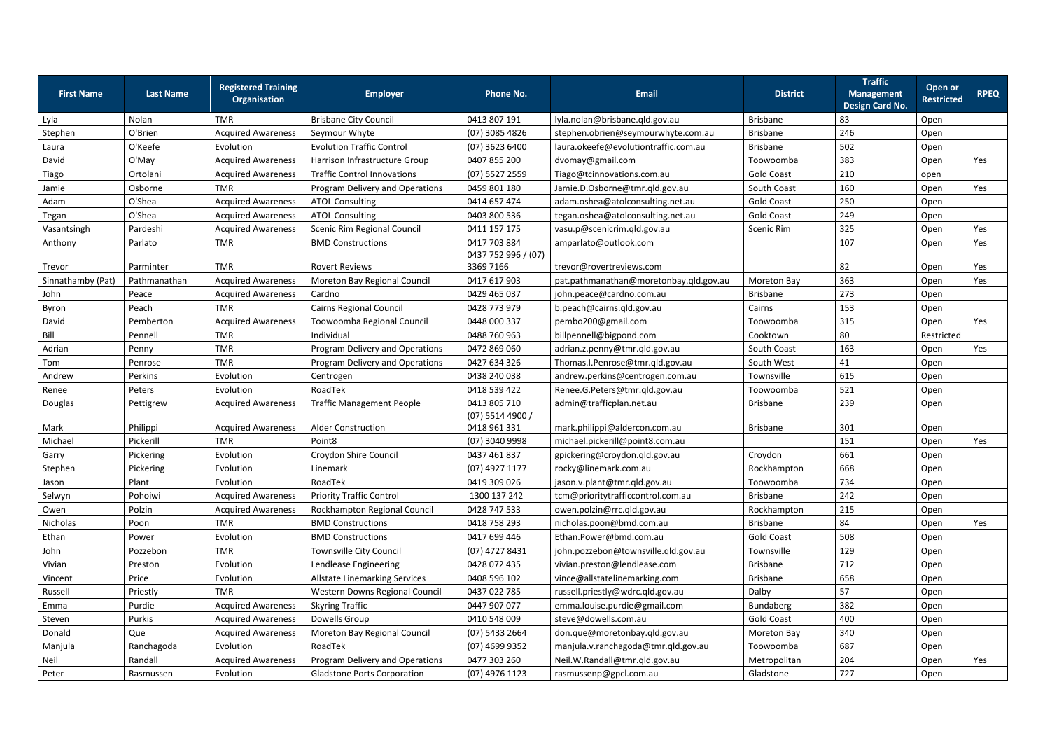| <b>First Name</b> | <b>Last Name</b> | <b>Registered Training</b><br><b>Organisation</b> | <b>Employer</b>                      | <b>Phone No.</b>                   | <b>Email</b>                           | <b>District</b>    | <b>Traffic</b><br><b>Management</b><br>Design Card No. | <b>Open or</b><br><b>Restricted</b> | <b>RPEQ</b> |
|-------------------|------------------|---------------------------------------------------|--------------------------------------|------------------------------------|----------------------------------------|--------------------|--------------------------------------------------------|-------------------------------------|-------------|
| Lyla              | Nolan            | <b>TMR</b>                                        | <b>Brisbane City Council</b>         | 0413 807 191                       | lyla.nolan@brisbane.qld.gov.au         | <b>Brisbane</b>    | 83                                                     | Open                                |             |
| Stephen           | O'Brien          | <b>Acquired Awareness</b>                         | Seymour Whyte                        | $(07)$ 3085 4826                   | stephen.obrien@seymourwhyte.com.au     | Brisbane           | 246                                                    | Open                                |             |
| Laura             | O'Keefe          | Evolution                                         | <b>Evolution Traffic Control</b>     | $(07)$ 3623 6400                   | laura.okeefe@evolutiontraffic.com.au   | <b>Brisbane</b>    | 502                                                    | Open                                |             |
| David             | O'May            | <b>Acquired Awareness</b>                         | Harrison Infrastructure Group        | 0407 855 200                       | dvomay@gmail.com                       | Toowoomba          | 383                                                    | Open                                | Yes         |
| Tiago             | Ortolani         | <b>Acquired Awareness</b>                         | <b>Traffic Control Innovations</b>   | $(07)$ 5527 2559                   | Tiago@tcinnovations.com.au             | <b>Gold Coast</b>  | 210                                                    | open                                |             |
| Jamie             | Osborne          | <b>TMR</b>                                        | Program Delivery and Operations      | 0459 801 180                       | Jamie.D.Osborne@tmr.qld.gov.au         | South Coast        | 160                                                    | Open                                | Yes         |
| Adam              | O'Shea           | <b>Acquired Awareness</b>                         | <b>ATOL Consulting</b>               | 0414 657 474                       | adam.oshea@atolconsulting.net.au       | <b>Gold Coast</b>  | 250                                                    | Open                                |             |
| Tegan             | O'Shea           | <b>Acquired Awareness</b>                         | <b>ATOL Consulting</b>               | 0403 800 536                       | tegan.oshea@atolconsulting.net.au      | <b>Gold Coast</b>  | 249                                                    | Open                                |             |
| Vasantsingh       | Pardeshi         | <b>Acquired Awareness</b>                         | Scenic Rim Regional Council          | 0411 157 175                       | vasu.p@scenicrim.qld.gov.au            | Scenic Rim         | 325                                                    | Open                                | Yes         |
| Anthony           | Parlato          | <b>TMR</b>                                        | <b>BMD Constructions</b>             | 0417 703 884                       | amparlato@outlook.com                  |                    | 107                                                    | Open                                | Yes         |
|                   |                  |                                                   |                                      | 0437 752 996 / (07)                |                                        |                    |                                                        |                                     |             |
| Trevor            | Parminter        | <b>TMR</b>                                        | <b>Rovert Reviews</b>                | 3369 7166                          | trevor@rovertreviews.com               |                    | 82                                                     | Open                                | Yes         |
| Sinnathamby (Pat) | Pathmanathan     | <b>Acquired Awareness</b>                         | Moreton Bay Regional Council         | 0417 617 903                       | pat.pathmanathan@moretonbay.qld.gov.au | <b>Moreton Bay</b> | 363                                                    | Open                                | Yes         |
| John              | Peace            | <b>Acquired Awareness</b>                         | Cardno                               | 0429 465 037                       | john.peace@cardno.com.au               | <b>Brisbane</b>    | 273                                                    | Open                                |             |
| Byron             | Peach            | <b>TMR</b>                                        | <b>Cairns Regional Council</b>       | 0428 773 979                       | b.peach@cairns.qld.gov.au              | Cairns             | 153                                                    | Open                                |             |
| David             | Pemberton        | <b>Acquired Awareness</b>                         | Toowoomba Regional Council           | 0448 000 337                       | pembo200@gmail.com                     | Toowoomba          | 315                                                    | Open                                | Yes         |
| Bill              | Pennell          | <b>TMR</b>                                        | Individual                           | 0488 760 963                       | billpennell@bigpond.com                | Cooktown           | 80                                                     | Restricted                          |             |
| Adrian            | Penny            | <b>TMR</b>                                        | Program Delivery and Operations      | 0472 869 060                       | adrian.z.penny@tmr.qld.gov.au          | South Coast        | 163                                                    | Open                                | Yes         |
| Tom               | Penrose          | <b>TMR</b>                                        | Program Delivery and Operations      | 0427 634 326                       | Thomas.I.Penrose@tmr.qld.gov.au        | South West         | 41                                                     | Open                                |             |
| Andrew            | Perkins          | Evolution                                         | Centrogen                            | 0438 240 038                       | andrew.perkins@centrogen.com.au        | Townsville         | 615                                                    | Open                                |             |
| Renee             | Peters           | Evolution                                         | RoadTek                              | 0418 539 422                       | Renee.G.Peters@tmr.qld.gov.au          | Toowoomba          | 521                                                    | Open                                |             |
| Douglas           | Pettigrew        | <b>Acquired Awareness</b>                         | <b>Traffic Management People</b>     | 0413 805 710                       | admin@trafficplan.net.au               | <b>Brisbane</b>    | 239                                                    | Open                                |             |
| Mark              | Philippi         | <b>Acquired Awareness</b>                         | <b>Alder Construction</b>            | $(07)$ 5514 4900 /<br>0418 961 331 | mark.philippi@aldercon.com.au          | <b>Brisbane</b>    | 301                                                    | Open                                |             |
| Michael           | Pickerill        | <b>TMR</b>                                        | Point <sub>8</sub>                   | (07) 3040 9998                     | michael.pickerill@point8.com.au        |                    | 151                                                    | Open                                | Yes         |
| Garry             | Pickering        | Evolution                                         | Croydon Shire Council                | 0437 461 837                       | gpickering@croydon.qld.gov.au          | Croydon            | 661                                                    | Open                                |             |
| Stephen           | Pickering        | Evolution                                         | Linemark                             | (07) 4927 1177                     | rocky@linemark.com.au                  | Rockhampton        | 668                                                    | Open                                |             |
| Jason             | Plant            | Evolution                                         | RoadTek                              | 0419 309 026                       | jason.v.plant@tmr.qld.gov.au           | Toowoomba          | 734                                                    | Open                                |             |
| Selwyn            | Pohoiwi          | <b>Acquired Awareness</b>                         | <b>Priority Traffic Control</b>      | 1300 137 242                       | tcm@prioritytrafficcontrol.com.au      | <b>Brisbane</b>    | 242                                                    | Open                                |             |
| Owen              | Polzin           | <b>Acquired Awareness</b>                         | Rockhampton Regional Council         | 0428 747 533                       | owen.polzin@rrc.qld.gov.au             | Rockhampton        | 215                                                    | Open                                |             |
| Nicholas          | Poon             | <b>TMR</b>                                        | <b>BMD Constructions</b>             | 0418 758 293                       | nicholas.poon@bmd.com.au               | <b>Brisbane</b>    | 84                                                     | Open                                | Yes         |
| Ethan             | Power            | Evolution                                         | <b>BMD Constructions</b>             | 0417 699 446                       | Ethan.Power@bmd.com.au                 | <b>Gold Coast</b>  | 508                                                    | Open                                |             |
| John              | Pozzebon         | <b>TMR</b>                                        | Townsville City Council              | (07) 4727 8431                     | john.pozzebon@townsville.qld.gov.au    | Townsville         | 129                                                    | Open                                |             |
| Vivian            | Preston          | Evolution                                         | Lendlease Engineering                | 0428 072 435                       | vivian.preston@lendlease.com           | <b>Brisbane</b>    | 712                                                    | Open                                |             |
| Vincent           | Price            | Evolution                                         | <b>Allstate Linemarking Services</b> | 0408 596 102                       | vince@allstatelinemarking.com          | Brisbane           | 658                                                    | Open                                |             |
| Russell           | Priestly         | <b>TMR</b>                                        | Western Downs Regional Council       | 0437 022 785                       | russell.priestly@wdrc.qld.gov.au       | Dalby              | 57                                                     | Open                                |             |
| Emma              | Purdie           | <b>Acquired Awareness</b>                         | <b>Skyring Traffic</b>               | 0447 907 077                       | emma.louise.purdie@gmail.com           | Bundaberg          | 382                                                    | Open                                |             |
| Steven            | Purkis           | <b>Acquired Awareness</b>                         | Dowells Group                        | 0410 548 009                       | steve@dowells.com.au                   | <b>Gold Coast</b>  | 400                                                    | Open                                |             |
| Donald            | Que              | <b>Acquired Awareness</b>                         | Moreton Bay Regional Council         | (07) 5433 2664                     | don.que@moretonbay.qld.gov.au          | <b>Moreton Bay</b> | 340                                                    | Open                                |             |
| Manjula           | Ranchagoda       | Evolution                                         | RoadTek                              | (07) 4699 9352                     | manjula.v.ranchagoda@tmr.qld.gov.au    | Toowoomba          | 687                                                    | Open                                |             |
| Neil              | Randall          | <b>Acquired Awareness</b>                         | Program Delivery and Operations      | 0477 303 260                       | Neil.W.Randall@tmr.qld.gov.au          | Metropolitan       | 204                                                    | Open                                | Yes         |
| Peter             | Rasmussen        | Evolution                                         | <b>Gladstone Ports Corporation</b>   | (07) 4976 1123                     | rasmussenp@gpcl.com.au                 | Gladstone          | 727                                                    | Open                                |             |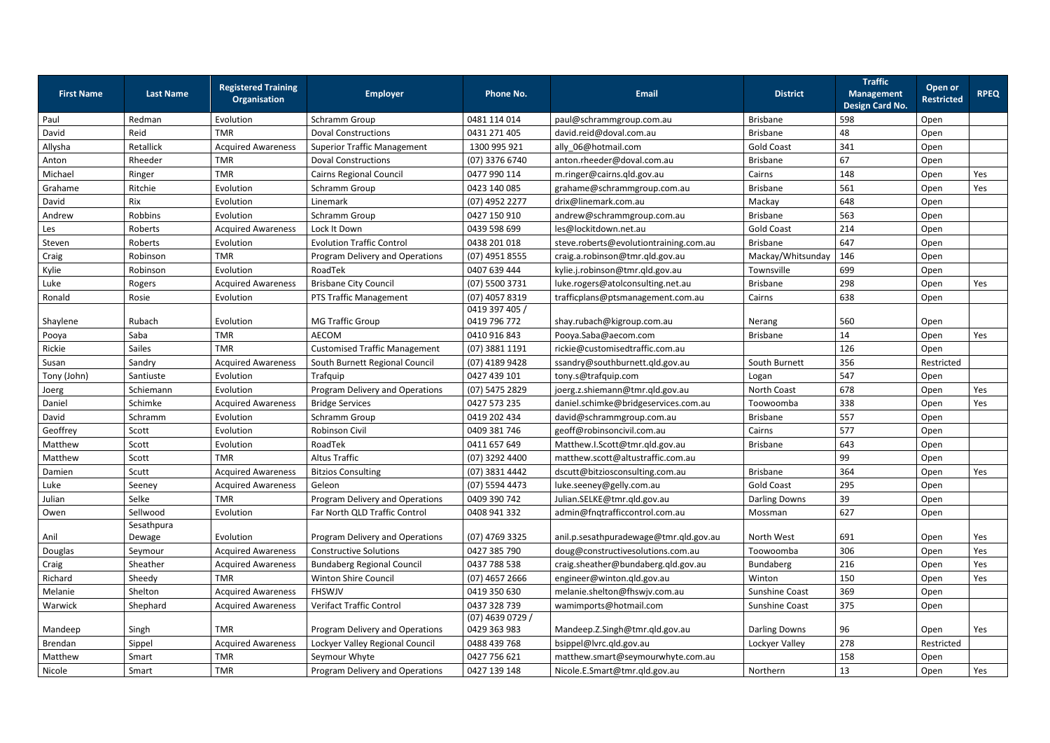|                   |                  | <b>Registered Training</b> |                                      |                                    |                                        |                      | <b>Traffic</b>                              | Open or           |             |
|-------------------|------------------|----------------------------|--------------------------------------|------------------------------------|----------------------------------------|----------------------|---------------------------------------------|-------------------|-------------|
| <b>First Name</b> | <b>Last Name</b> | <b>Organisation</b>        | <b>Employer</b>                      | <b>Phone No.</b>                   | <b>Email</b>                           | <b>District</b>      | <b>Management</b><br><b>Design Card No.</b> | <b>Restricted</b> | <b>RPEQ</b> |
| Paul              | Redman           | Evolution                  | Schramm Group                        | 0481 114 014                       | paul@schrammgroup.com.au               | <b>Brisbane</b>      | 598                                         | Open              |             |
| David             | Reid             | <b>TMR</b>                 | <b>Doval Constructions</b>           | 0431 271 405                       | david.reid@doval.com.au                | <b>Brisbane</b>      | 48                                          | Open              |             |
| Allysha           | Retallick        | <b>Acquired Awareness</b>  | <b>Superior Traffic Management</b>   | 1300 995 921                       | ally_06@hotmail.com                    | <b>Gold Coast</b>    | 341                                         | Open              |             |
| Anton             | Rheeder          | <b>TMR</b>                 | <b>Doval Constructions</b>           | (07) 3376 6740                     | anton.rheeder@doval.com.au             | <b>Brisbane</b>      | 67                                          | Open              |             |
| Michael           | Ringer           | <b>TMR</b>                 | <b>Cairns Regional Council</b>       | 0477 990 114                       | m.ringer@cairns.qld.gov.au             | Cairns               | 148                                         | Open              | Yes         |
| Grahame           | Ritchie          | Evolution                  | Schramm Group                        | 0423 140 085                       | grahame@schrammgroup.com.au            | <b>Brisbane</b>      | 561                                         | Open              | Yes         |
| David             | Rix              | Evolution                  | Linemark                             | (07) 4952 2277                     | drix@linemark.com.au                   | Mackay               | 648                                         | Open              |             |
| Andrew            | Robbins          | Evolution                  | Schramm Group                        | 0427 150 910                       | andrew@schrammgroup.com.au             | <b>Brisbane</b>      | 563                                         | Open              |             |
| Les               | Roberts          | <b>Acquired Awareness</b>  | Lock It Down                         | 0439 598 699                       | les@lockitdown.net.au                  | <b>Gold Coast</b>    | 214                                         | Open              |             |
| Steven            | Roberts          | Evolution                  | <b>Evolution Traffic Control</b>     | 0438 201 018                       | steve.roberts@evolutiontraining.com.au | <b>Brisbane</b>      | 647                                         | Open              |             |
| Craig             | Robinson         | <b>TMR</b>                 | Program Delivery and Operations      | (07) 4951 8555                     | craig.a.robinson@tmr.qld.gov.au        | Mackay/Whitsunday    | 146                                         | Open              |             |
| Kylie             | Robinson         | Evolution                  | RoadTek                              | 0407 639 444                       | kylie.j.robinson@tmr.qld.gov.au        | Townsville           | 699                                         | Open              |             |
| Luke              | Rogers           | <b>Acquired Awareness</b>  | <b>Brisbane City Council</b>         | (07) 5500 3731                     | luke.rogers@atolconsulting.net.au      | Brisbane             | 298                                         | Open              | Yes         |
| Ronald            | Rosie            | Evolution                  | PTS Traffic Management               | (07) 4057 8319                     | trafficplans@ptsmanagement.com.au      | Cairns               | 638                                         | Open              |             |
|                   |                  |                            |                                      | 0419 397 405 /                     |                                        |                      |                                             |                   |             |
| Shaylene          | Rubach           | Evolution                  | <b>MG Traffic Group</b>              | 0419 796 772                       | shay.rubach@kigroup.com.au             | Nerang               | 560                                         | Open              |             |
| Pooya             | Saba             | <b>TMR</b>                 | <b>AECOM</b>                         | 0410 916 843                       | Pooya.Saba@aecom.com                   | <b>Brisbane</b>      | 14                                          | Open              | Yes         |
| Rickie            | Sailes           | <b>TMR</b>                 | <b>Customised Traffic Management</b> | (07) 3881 1191                     | rickie@customisedtraffic.com.au        |                      | 126                                         | Open              |             |
| Susan             | Sandry           | <b>Acquired Awareness</b>  | South Burnett Regional Council       | (07) 4189 9428                     | ssandry@southburnett.qld.gov.au        | South Burnett        | 356                                         | Restricted        |             |
| Tony (John)       | Santiuste        | Evolution                  | Trafquip                             | 0427 439 101                       | tony.s@trafquip.com                    | Logan                | 547                                         | Open              |             |
| Joerg             | Schiemann        | Evolution                  | Program Delivery and Operations      | (07) 5475 2829                     | joerg.z.shiemann@tmr.qld.gov.au        | North Coast          | 678                                         | Open              | Yes         |
| Daniel            | Schimke          | <b>Acquired Awareness</b>  | <b>Bridge Services</b>               | 0427 573 235                       | daniel.schimke@bridgeservices.com.au   | Toowoomba            | 338                                         | Open              | Yes         |
| David             | Schramm          | Evolution                  | Schramm Group                        | 0419 202 434                       | david@schrammgroup.com.au              | <b>Brisbane</b>      | 557                                         | Open              |             |
| Geoffrey          | Scott            | Evolution                  | Robinson Civil                       | 0409 381 746                       | geoff@robinsoncivil.com.au             | Cairns               | 577                                         | Open              |             |
| Matthew           | Scott            | Evolution                  | RoadTek                              | 0411 657 649                       | Matthew.I.Scott@tmr.qld.gov.au         | <b>Brisbane</b>      | 643                                         | Open              |             |
| Matthew           | Scott            | <b>TMR</b>                 | <b>Altus Traffic</b>                 | (07) 3292 4400                     | matthew.scott@altustraffic.com.au      |                      | 99                                          | Open              |             |
| Damien            | Scutt            | <b>Acquired Awareness</b>  | <b>Bitzios Consulting</b>            | (07) 3831 4442                     | dscutt@bitziosconsulting.com.au        | <b>Brisbane</b>      | 364                                         | Open              | Yes         |
| Luke              | Seeney           | <b>Acquired Awareness</b>  | Geleon                               | (07) 5594 4473                     | luke.seeney@gelly.com.au               | <b>Gold Coast</b>    | 295                                         | Open              |             |
| Julian            | Selke            | <b>TMR</b>                 | Program Delivery and Operations      | 0409 390 742                       | Julian.SELKE@tmr.qld.gov.au            | <b>Darling Downs</b> | 39                                          | Open              |             |
| Owen              | Sellwood         | Evolution                  | Far North QLD Traffic Control        | 0408 941 332                       | admin@fnqtrafficcontrol.com.au         | Mossman              | 627                                         | Open              |             |
|                   | Sesathpura       |                            |                                      |                                    |                                        |                      |                                             |                   |             |
| Anil              | Dewage           | Evolution                  | Program Delivery and Operations      | (07) 4769 3325                     | anil.p.sesathpuradewage@tmr.qld.gov.au | North West           | 691                                         | Open              | Yes         |
| Douglas           | Seymour          | <b>Acquired Awareness</b>  | <b>Constructive Solutions</b>        | 0427 385 790                       | doug@constructivesolutions.com.au      | Toowoomba            | 306                                         | Open              | Yes         |
| Craig             | Sheather         | <b>Acquired Awareness</b>  | <b>Bundaberg Regional Council</b>    | 0437 788 538                       | craig.sheather@bundaberg.qld.gov.au    | Bundaberg            | 216                                         | Open              | Yes         |
| Richard           | Sheedy           | <b>TMR</b>                 | <b>Winton Shire Council</b>          | $(07)$ 4657 2666                   | engineer@winton.qld.gov.au             | Winton               | 150                                         | Open              | Yes         |
| Melanie           | Shelton          | <b>Acquired Awareness</b>  | <b>FHSWJV</b>                        | 0419 350 630                       | melanie.shelton@fhswjv.com.au          | Sunshine Coast       | 369                                         | Open              |             |
| Warwick           | Shephard         | <b>Acquired Awareness</b>  | <b>Verifact Traffic Control</b>      | 0437 328 739                       | wamimports@hotmail.com                 | Sunshine Coast       | 375                                         | Open              |             |
| Mandeep           | Singh            | <b>TMR</b>                 | Program Delivery and Operations      | $(07)$ 4639 0729 /<br>0429 363 983 | Mandeep.Z.Singh@tmr.qld.gov.au         | <b>Darling Downs</b> | 96                                          | Open              | Yes         |
| Brendan           | Sippel           | <b>Acquired Awareness</b>  | Lockyer Valley Regional Council      | 0488 439 768                       | bsippel@lvrc.qld.gov.au                | Lockyer Valley       | 278                                         | Restricted        |             |
| Matthew           | Smart            | <b>TMR</b>                 | Seymour Whyte                        | 0427 756 621                       | matthew.smart@seymourwhyte.com.au      |                      | 158                                         | Open              |             |
| Nicole            | Smart            | <b>TMR</b>                 | Program Delivery and Operations      | 0427 139 148                       | Nicole.E.Smart@tmr.qld.gov.au          | Northern             | 13                                          | Open              | Yes         |
|                   |                  |                            |                                      |                                    |                                        |                      |                                             |                   |             |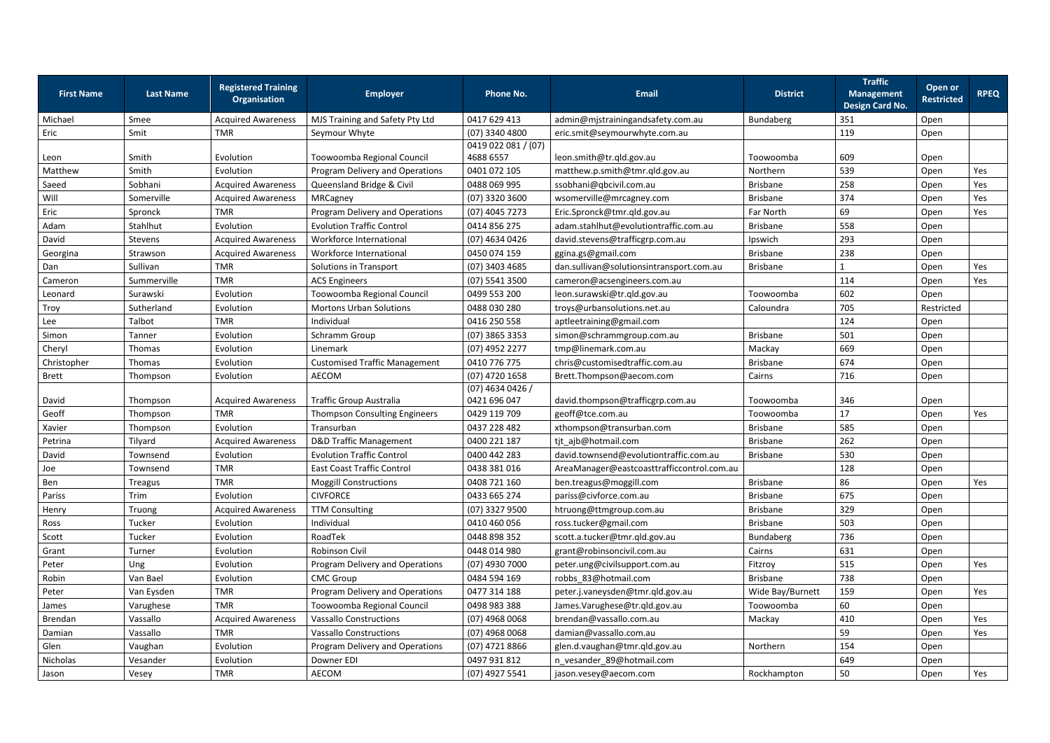|                   |                  | <b>Registered Training</b> |                                      |                     |                                            |                  | <b>Traffic</b>                              | Open or           |             |
|-------------------|------------------|----------------------------|--------------------------------------|---------------------|--------------------------------------------|------------------|---------------------------------------------|-------------------|-------------|
| <b>First Name</b> | <b>Last Name</b> | <b>Organisation</b>        | <b>Employer</b>                      | <b>Phone No.</b>    | <b>Email</b>                               | <b>District</b>  | <b>Management</b><br><b>Design Card No.</b> | <b>Restricted</b> | <b>RPEQ</b> |
| Michael           | Smee             | <b>Acquired Awareness</b>  | MJS Training and Safety Pty Ltd      | 0417 629 413        | admin@mjstrainingandsafety.com.au          | Bundaberg        | 351                                         | Open              |             |
| Eric              | Smit             | <b>TMR</b>                 | Seymour Whyte                        | (07) 3340 4800      | eric.smit@seymourwhyte.com.au              |                  | 119                                         | Open              |             |
|                   |                  |                            |                                      | 0419 022 081 / (07) |                                            |                  |                                             |                   |             |
| Leon              | Smith            | Evolution                  | Toowoomba Regional Council           | 4688 6557           | leon.smith@tr.qld.gov.au                   | Toowoomba        | 609                                         | Open              |             |
| Matthew           | Smith            | Evolution                  | Program Delivery and Operations      | 0401 072 105        | matthew.p.smith@tmr.qld.gov.au             | Northern         | 539                                         | Open              | Yes         |
| Saeed             | Sobhani          | <b>Acquired Awareness</b>  | Queensland Bridge & Civil            | 0488 069 995        | ssobhani@qbcivil.com.au                    | <b>Brisbane</b>  | 258                                         | Open              | Yes         |
| Will              | Somerville       | <b>Acquired Awareness</b>  | MRCagney                             | $(07)$ 3320 3600    | wsomerville@mrcagney.com                   | <b>Brisbane</b>  | 374                                         | Open              | Yes         |
| Eric              | Spronck          | <b>TMR</b>                 | Program Delivery and Operations      | (07) 4045 7273      | Eric.Spronck@tmr.qld.gov.au                | Far North        | 69                                          | Open              | Yes         |
| Adam              | Stahlhut         | Evolution                  | <b>Evolution Traffic Control</b>     | 0414 856 275        | adam.stahlhut@evolutiontraffic.com.au      | <b>Brisbane</b>  | 558                                         | Open              |             |
| David             | Stevens          | <b>Acquired Awareness</b>  | Workforce International              | (07) 4634 0426      | david.stevens@trafficgrp.com.au            | Ipswich          | 293                                         | Open              |             |
| Georgina          | Strawson         | <b>Acquired Awareness</b>  | Workforce International              | 0450 074 159        | ggina.gs@gmail.com                         | <b>Brisbane</b>  | 238                                         | Open              |             |
| Dan               | Sullivan         | <b>TMR</b>                 | Solutions in Transport               | $(07)$ 3403 4685    | dan.sullivan@solutionsintransport.com.au   | <b>Brisbane</b>  |                                             | Open              | Yes         |
| Cameron           | Summerville      | <b>TMR</b>                 | <b>ACS Engineers</b>                 | $(07)$ 5541 3500    | cameron@acsengineers.com.au                |                  | 114                                         | Open              | Yes         |
| Leonard           | Surawski         | Evolution                  | Toowoomba Regional Council           | 0499 553 200        | leon.surawski@tr.qld.gov.au                | Toowoomba        | 602                                         | Open              |             |
| Troy              | Sutherland       | Evolution                  | <b>Mortons Urban Solutions</b>       | 0488 030 280        | troys@urbansolutions.net.au                | Caloundra        | 705                                         | Restricted        |             |
| Lee               | Talbot           | <b>TMR</b>                 | Individual                           | 0416 250 558        | aptleetraining@gmail.com                   |                  | 124                                         | Open              |             |
| Simon             | Tanner           | Evolution                  | Schramm Group                        | $(07)$ 3865 3353    | simon@schrammgroup.com.au                  | <b>Brisbane</b>  | 501                                         | Open              |             |
| Cheryl            | <b>Thomas</b>    | Evolution                  | Linemark                             | (07) 4952 2277      | tmp@linemark.com.au                        | Mackay           | 669                                         | Open              |             |
| Christopher       | Thomas           | Evolution                  | <b>Customised Traffic Management</b> | 0410 776 775        | chris@customisedtraffic.com.au             | <b>Brisbane</b>  | 674                                         | Open              |             |
| <b>Brett</b>      | Thompson         | Evolution                  | AECOM                                | (07) 4720 1658      | Brett.Thompson@aecom.com                   | Cairns           | 716                                         | Open              |             |
|                   |                  |                            |                                      | $(07)$ 4634 0426 /  |                                            |                  |                                             |                   |             |
| David             | Thompson         | <b>Acquired Awareness</b>  | <b>Traffic Group Australia</b>       | 0421 696 047        | david.thompson@trafficgrp.com.au           | Toowoomba        | 346                                         | Open              |             |
| Geoff             | Thompson         | <b>TMR</b>                 | <b>Thompson Consulting Engineers</b> | 0429 119 709        | geoff@tce.com.au                           | Toowoomba        | 17                                          | Open              | Yes         |
| Xavier            | Thompson         | Evolution                  | Transurban                           | 0437 228 482        | xthompson@transurban.com                   | <b>Brisbane</b>  | 585                                         | Open              |             |
| Petrina           | Tilyard          | <b>Acquired Awareness</b>  | <b>D&amp;D Traffic Management</b>    | 0400 221 187        | tjt_ajb@hotmail.com                        | <b>Brisbane</b>  | 262                                         | Open              |             |
| David             | Townsend         | Evolution                  | <b>Evolution Traffic Control</b>     | 0400 442 283        | david.townsend@evolutiontraffic.com.au     | <b>Brisbane</b>  | 530                                         | Open              |             |
| Joe               | Townsend         | TMR                        | <b>East Coast Traffic Control</b>    | 0438 381 016        | AreaManager@eastcoasttrafficcontrol.com.au |                  | 128                                         | Open              |             |
| Ben               | Treagus          | <b>TMR</b>                 | <b>Moggill Constructions</b>         | 0408 721 160        | ben.treagus@moggill.com                    | <b>Brisbane</b>  | 86                                          | Open              | Yes         |
| Pariss            | Trim             | Evolution                  | <b>CIVFORCE</b>                      | 0433 665 274        | pariss@civforce.com.au                     | <b>Brisbane</b>  | 675                                         | Open              |             |
| Henry             | Truong           | <b>Acquired Awareness</b>  | <b>TTM Consulting</b>                | $(07)$ 3327 9500    | htruong@ttmgroup.com.au                    | <b>Brisbane</b>  | 329                                         | Open              |             |
| Ross              | Tucker           | Evolution                  | Individual                           | 0410 460 056        | ross.tucker@gmail.com                      | <b>Brisbane</b>  | 503                                         | Open              |             |
| Scott             | Tucker           | Evolution                  | RoadTek                              | 0448 898 352        | scott.a.tucker@tmr.qld.gov.au              | Bundaberg        | 736                                         | Open              |             |
| Grant             | Turner           | Evolution                  | Robinson Civil                       | 0448 014 980        | grant@robinsoncivil.com.au                 | Cairns           | 631                                         | Open              |             |
| Peter             | Ung              | Evolution                  | Program Delivery and Operations      | (07) 4930 7000      | peter.ung@civilsupport.com.au              | Fitzroy          | 515                                         | Open              | Yes         |
| Robin             | Van Bael         | Evolution                  | <b>CMC Group</b>                     | 0484 594 169        | robbs 83@hotmail.com                       | <b>Brisbane</b>  | 738                                         | Open              |             |
| Peter             | Van Eysden       | <b>TMR</b>                 | Program Delivery and Operations      | 0477 314 188        | peter.j.vaneysden@tmr.qld.gov.au           | Wide Bay/Burnett | 159                                         | Open              | Yes         |
| James             | Varughese        | <b>TMR</b>                 | Toowoomba Regional Council           | 0498 983 388        | James.Varughese@tr.qld.gov.au              | Toowoomba        | 60                                          | Open              |             |
| Brendan           | Vassallo         | <b>Acquired Awareness</b>  | <b>Vassallo Constructions</b>        | $(07)$ 4968 0068    | brendan@vassallo.com.au                    | Mackay           | 410                                         | Open              | Yes         |
| Damian            | Vassallo         | <b>TMR</b>                 | <b>Vassallo Constructions</b>        | $(07)$ 4968 0068    | damian@vassallo.com.au                     |                  | 59                                          | Open              | Yes         |
| Glen              | Vaughan          | Evolution                  | Program Delivery and Operations      | $(07)$ 4721 8866    | glen.d.vaughan@tmr.qld.gov.au              | Northern         | 154                                         | Open              |             |
| Nicholas          | Vesander         | Evolution                  | Downer EDI                           | 0497 931 812        | n_vesander_89@hotmail.com                  |                  | 649                                         | Open              |             |
| Jason             | Vesey            | <b>TMR</b>                 | AECOM                                | (07) 4927 5541      | jason.vesey@aecom.com                      | Rockhampton      | 50                                          | Open              | Yes         |